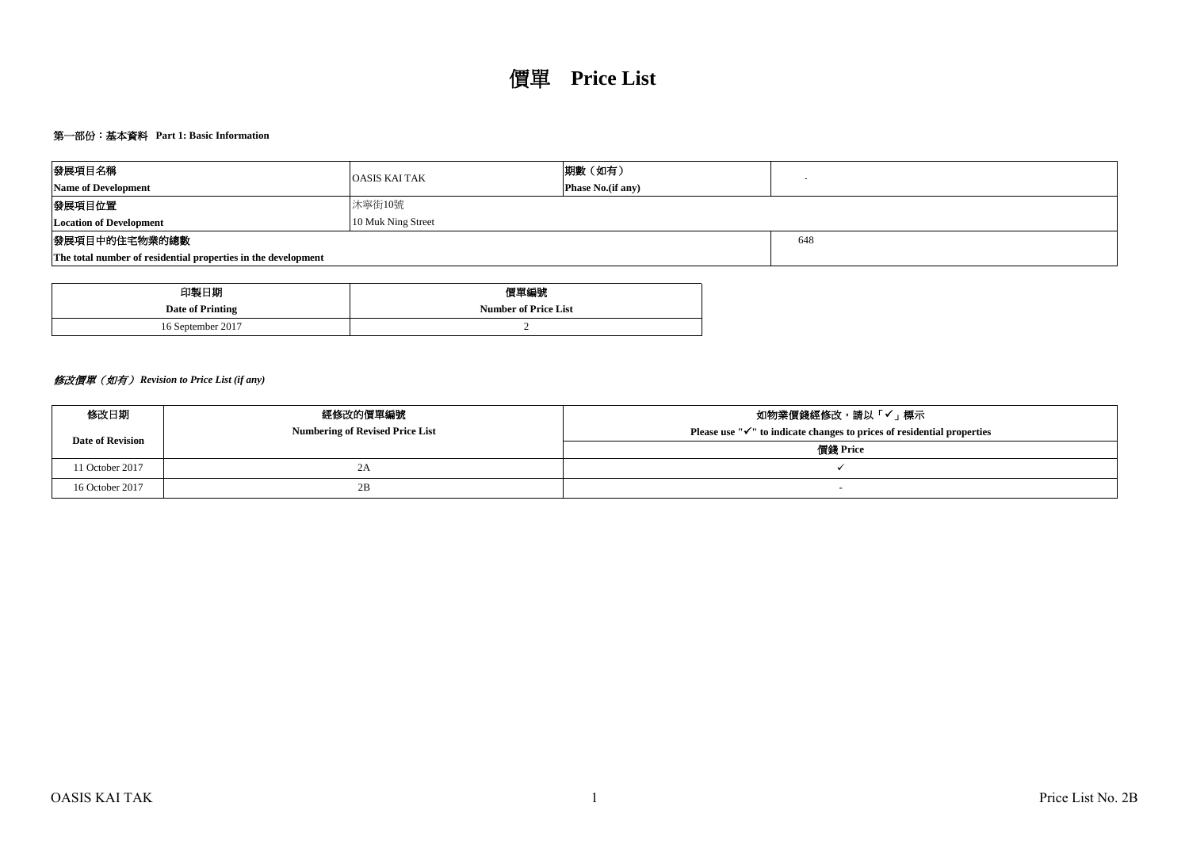# 第一部份:基本資料 **Part 1: Basic Information**

| 發展項目名稱                                                        | <b>OASIS KAI TAK</b> | 期數(如有)                    |  |  |  |  |  |  |
|---------------------------------------------------------------|----------------------|---------------------------|--|--|--|--|--|--|
| <b>Name of Development</b>                                    |                      | <b>Phase No.</b> (if any) |  |  |  |  |  |  |
| 發展項目位置                                                        | 沐寧街10號               |                           |  |  |  |  |  |  |
| <b>Location of Development</b>                                | 10 Muk Ning Street   |                           |  |  |  |  |  |  |
| 發展項目中的住宅物業的總數                                                 | 648                  |                           |  |  |  |  |  |  |
| The total number of residential properties in the development |                      |                           |  |  |  |  |  |  |

| 印製日期              | 價單編號                        |
|-------------------|-----------------------------|
| Date of Printing  | <b>Number of Price List</b> |
| 16 September 2017 |                             |

# 修改價單(如有) *Revision to Price List (if any)*

| 修改日期                    | 經修改的價單編號                               | 如物業價錢經修改,請以「✔」標示                                                                    |  |  |  |  |  |
|-------------------------|----------------------------------------|-------------------------------------------------------------------------------------|--|--|--|--|--|
| <b>Date of Revision</b> | <b>Numbering of Revised Price List</b> | Please use " $\checkmark$ " to indicate changes to prices of residential properties |  |  |  |  |  |
|                         |                                        | 價錢 Price                                                                            |  |  |  |  |  |
| 11 October 2017         | ZΑ                                     |                                                                                     |  |  |  |  |  |
| 16 October 2017         | 2B                                     |                                                                                     |  |  |  |  |  |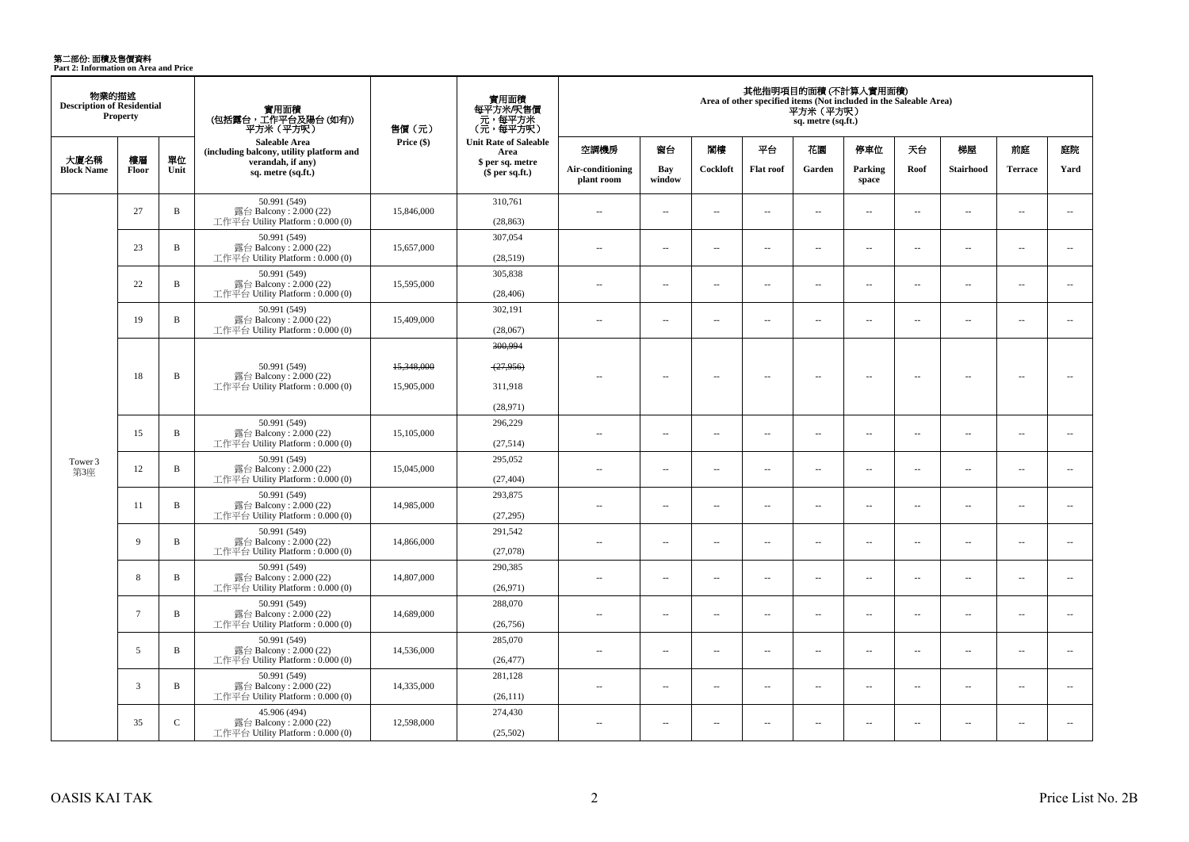**第二部份: 面積及售價資料**<br>Part 2: Information on Area and Price

| 物業的描述<br><b>Description of Residential</b><br><b>Property</b> |                 |               | 實用面積<br>(包括露台,工作平台及陽台 (如有))<br>平方米(平方呎)                                      | 售價(元)                    | 實用面積<br>每平方米/呎售價<br>、元, 每平方米<br>(元, 每平方呎)   | 其他指明項目的面積(不計算入實用面積)<br>Area of other specified items (Not included in the Saleable Area)<br>平方米 (平方呎)<br>sq. metre (sq.ft.) |                          |                          |                |                          |                          |                             |                          |                          |                          |  |
|---------------------------------------------------------------|-----------------|---------------|------------------------------------------------------------------------------|--------------------------|---------------------------------------------|-----------------------------------------------------------------------------------------------------------------------------|--------------------------|--------------------------|----------------|--------------------------|--------------------------|-----------------------------|--------------------------|--------------------------|--------------------------|--|
|                                                               |                 |               | Saleable Area<br>(including balcony, utility platform and                    | Price $(\$)$             | <b>Unit Rate of Saleable</b><br>Area        | 空調機房                                                                                                                        | 窗台                       | 閣樓                       | 平台             | 花園                       | 停車位                      | 天台                          | 梯屋                       | 前庭                       | 庭院                       |  |
| 大廈名稱<br><b>Block Name</b>                                     | 樓層<br>Floor     | 單位<br>Unit    | verandah, if any)<br>sq. metre (sq.ft.)                                      |                          | \$ per sq. metre<br>\$per sq.ft.)           | Air-conditioning<br>plant room                                                                                              | Bay<br>window            | Cockloft                 | Flat roof      | Garden                   | Parking<br>space         | Roof                        | <b>Stairhood</b>         | <b>Terrace</b>           | Yard                     |  |
|                                                               | 27              | $\, {\bf B}$  | 50.991 (549)<br>露台 Balcony: 2.000 (22)<br>工作平台 Utility Platform: 0.000 (0)   | 15,846,000               | 310,761<br>(28, 863)                        | $-$                                                                                                                         | $\sim$                   | $\sim$                   | $\overline{a}$ | $\sim$                   | $\sim$                   | $\sim$                      | $\sim$                   | $\overline{a}$           | $\sim$                   |  |
|                                                               | 23              | $\, {\bf B}$  | 50.991 (549)<br>露台 Balcony: 2.000 (22)<br>工作平台 Utility Platform: 0.000 (0)   | 15,657,000               | 307,054<br>(28,519)                         | ٠.                                                                                                                          | $\sim$                   | $\overline{\phantom{a}}$ | $\sim$         | $\overline{\phantom{a}}$ | $\sim$                   | $\overline{\phantom{a}}$    | $\sim$                   | $\overline{\phantom{a}}$ | $\overline{\phantom{a}}$ |  |
|                                                               | 22              | $\mathbf{B}$  | 50.991 (549)<br>露台 Balcony: 2.000 (22)<br>工作平台 Utility Platform : $0.000(0)$ | 15,595,000               | 305,838<br>(28, 406)                        | $-$                                                                                                                         | $\sim$                   | $\overline{\phantom{a}}$ | $\overline{a}$ | $\overline{\phantom{a}}$ | $\sim$                   | $\overline{\phantom{a}}$    | $\sim$                   | $\sim$                   | $\overline{\phantom{a}}$ |  |
|                                                               | 19              | $\, {\bf B}$  | 50.991 (549)<br>露台 Balcony: 2.000 (22)<br>工作平台 Utility Platform: 0.000 (0)   | 15,409,000               | 302,191<br>(28,067)                         | $\sim$                                                                                                                      | $\overline{\phantom{a}}$ | $\sim$                   | $\sim$         | $\sim$                   | $\sim$                   | $\overline{\phantom{a}}$    | $\sim$                   | $\overline{a}$           | $\overline{\phantom{a}}$ |  |
|                                                               | 18              | $\, {\bf B}$  | 50.991 (549)<br>露台 Balcony: 2.000 (22)<br>工作平台 Utility Platform: 0.000 (0)   | 15,348,000<br>15,905,000 | 300.994<br>(27, 956)<br>311,918<br>(28,971) | $\overline{\phantom{a}}$                                                                                                    | $\overline{\phantom{a}}$ | $\sim$                   | $\sim$         | ٠.                       | $\overline{\phantom{a}}$ | $\overline{\phantom{a}}$    | ÷.                       | $\overline{\phantom{a}}$ | ÷.                       |  |
|                                                               | 15              | $\, {\bf B}$  | 50.991 (549)<br>露台 Balcony: 2.000 (22)<br>工作平台 Utility Platform: 0.000 (0)   | 15,105,000               | 296,229<br>(27,514)                         | $\sim$                                                                                                                      | $\sim$                   | $\sim$                   | $\sim$         | $\sim$                   | $\sim$                   | $\mathcal{L}_{\mathcal{A}}$ | $\sim$                   | $\sim$ $\sim$            | $\overline{\phantom{a}}$ |  |
| Tower 3<br>第3座                                                | 12              | $\, {\bf B}$  | 50.991 (549)<br>露台 Balcony: 2.000 (22)<br>工作平台 Utility Platform: 0.000 (0)   | 15,045,000               | 295,052<br>(27, 404)                        | ٠.                                                                                                                          | $\sim$                   | $\ddot{\phantom{a}}$     | $\sim$         | $\overline{\phantom{a}}$ | $\sim$                   | $\overline{\phantom{a}}$    | $\overline{\phantom{a}}$ | $\sim$                   | $\overline{\phantom{a}}$ |  |
|                                                               | 11              | $\mathbf B$   | 50.991 (549)<br>露台 Balcony: 2.000 (22)<br>工作平台 Utility Platform: 0.000 (0)   | 14,985,000               | 293,875<br>(27, 295)                        | $\sim$                                                                                                                      | $\overline{\phantom{a}}$ | $\overline{\phantom{a}}$ | $\sim$         | $\overline{\phantom{a}}$ | $\sim$                   | $\overline{\phantom{a}}$    | $\overline{\phantom{a}}$ | $\overline{\phantom{a}}$ | $\overline{\phantom{a}}$ |  |
|                                                               | 9               | $\mathbf B$   | 50.991 (549)<br>露台 Balcony: 2.000 (22)<br>工作平台 Utility Platform: 0.000 (0)   | 14,866,000               | 291,542<br>(27,078)                         | $\sim$                                                                                                                      | $\sim$                   | $\sim$                   | $\sim$         | $\sim$                   | $\sim$                   | $\overline{\phantom{a}}$    | $\sim$                   | $\overline{a}$           | $\sim$                   |  |
|                                                               | 8               | $\mathbf B$   | 50.991 (549)<br>露台 Balcony: 2.000 (22)<br>工作平台 Utility Platform: 0.000 (0)   | 14,807,000               | 290.385<br>(26,971)                         | $\sim$                                                                                                                      | $\sim$                   | $\sim$                   | $\sim$         | $\overline{a}$           | $\sim$                   | $\overline{\phantom{a}}$    | $\sim$                   | $\sim$                   | $\sim$                   |  |
|                                                               | $7\phantom{.0}$ | $\mathbf B$   | 50.991 (549)<br>露台 Balcony: 2.000 (22)<br>工作平台 Utility Platform: 0.000 (0)   | 14,689,000               | 288,070<br>(26,756)                         | $\overline{a}$                                                                                                              | $\sim$                   | ÷.                       | $\overline{a}$ | $\sim$                   | $\sim$                   | $\overline{\phantom{a}}$    | $\sim$                   | $\overline{a}$           | $\sim$                   |  |
|                                                               | 5               | $\mathbf B$   | 50.991 (549)<br>露台 Balcony: 2.000 (22)<br>工作平台 Utility Platform: 0.000 (0)   | 14,536,000               | 285,070<br>(26, 477)                        | $\sim$ $\sim$                                                                                                               | $\sim$                   | $\sim$                   | $\sim$         | $\sim$                   | $\sim$                   | $\overline{\phantom{a}}$    | $\sim$                   | $\overline{a}$           | $\sim$                   |  |
|                                                               | 3               | $\mathbf B$   | 50.991 (549)<br>露台 Balcony: 2.000 (22)<br>工作平台 Utility Platform: 0.000 (0)   | 14,335,000               | 281,128<br>(26, 111)                        | $\sim$                                                                                                                      | $\overline{\phantom{a}}$ | $\sim$                   | $\sim$         | $\overline{\phantom{a}}$ | $\overline{\phantom{a}}$ | $\overline{\phantom{a}}$    | $\sim$                   | $\overline{\phantom{a}}$ | $\sim$                   |  |
|                                                               | 35              | $\mathcal{C}$ | 45.906 (494)<br>露台 Balcony: 2.000 (22)<br>工作平台 Utility Platform: 0.000 (0)   | 12,598,000               | 274,430<br>(25,502)                         | $\sim$ $\sim$                                                                                                               | $\overline{\phantom{a}}$ | $\sim$                   | $\sim$         | $\sim$                   | $\sim$                   | $\overline{\phantom{a}}$    | $\sim$                   | $\overline{\phantom{a}}$ | $\overline{\phantom{a}}$ |  |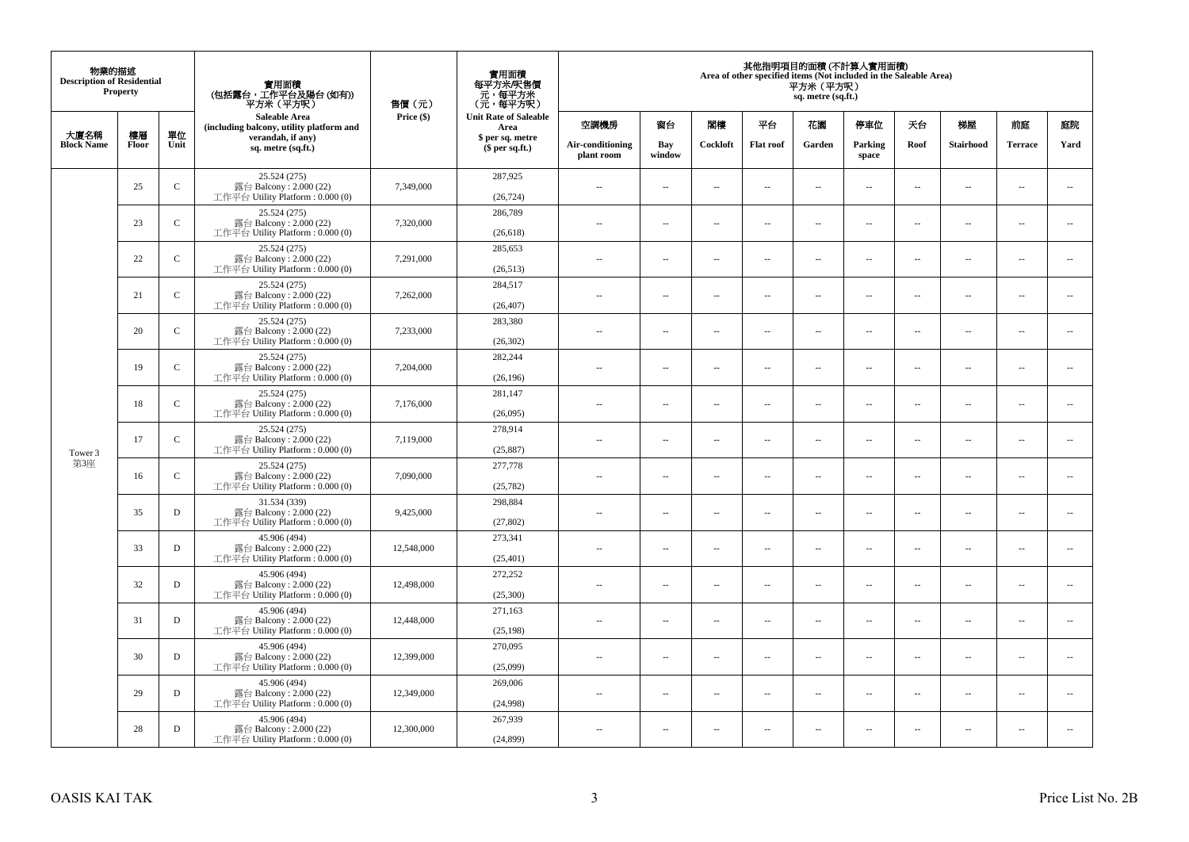| 物業的描述<br><b>Description of Residential</b> | <b>Property</b> |              | 實用面積<br>(包括露台,工作平台及陽台(如有))<br>平方米(平方呎)                                      | 售價(元)      | 實用面積<br>每平方米/呎售價<br>- 元, 每平方米<br>(元, 每平方呎) |                                |                          |                          |                          | 平方米 (平方呎)<br>sq. metre (sq.ft.) | 其他指明項目的面積 (不計算入實用面積)<br>Area of other specified items (Not included in the Saleable Area) |                          |                          |                          |                          |
|--------------------------------------------|-----------------|--------------|-----------------------------------------------------------------------------|------------|--------------------------------------------|--------------------------------|--------------------------|--------------------------|--------------------------|---------------------------------|-------------------------------------------------------------------------------------------|--------------------------|--------------------------|--------------------------|--------------------------|
| 大廈名稱                                       | 樓層              | 單位           | <b>Saleable Area</b><br>(including balcony, utility platform and            | Price (\$) | <b>Unit Rate of Saleable</b><br>Area       | 空調機房                           | 窗台                       | 閣樓                       | 平台                       | 花園                              | 停車位                                                                                       | 天台                       | 梯屋                       | 前庭                       | 庭院                       |
| <b>Block Name</b>                          | Floor           | Unit         | verandah, if any)<br>sq. metre (sq.ft.)                                     |            | \$ per sq. metre<br>\$per sq.ft.)          | Air-conditioning<br>plant room | Bay<br>window            | Cockloft                 | <b>Flat</b> roof         | Garden                          | Parking<br>space                                                                          | Roof                     | Stairhood                | <b>Terrace</b>           | Yard                     |
|                                            | 25              | $\mathsf{C}$ | 25.524 (275)<br>露台 Balcony: 2.000 (22)<br>工作平台 Utility Platform: 0.000 (0)  | 7,349,000  | 287,925<br>(26, 724)                       | $\ddot{\phantom{a}}$           | $\overline{\phantom{a}}$ | $\sim$                   | μ.                       | $\sim$                          | $\sim$                                                                                    | $\overline{\phantom{a}}$ | Ξ.                       | $\ddot{\phantom{a}}$     | $\overline{\phantom{a}}$ |
|                                            | 23              | ${\bf C}$    | 25.524 (275)<br>露台 Balcony: 2.000 (22)<br>工作平台 Utility Platform: 0.000 (0)  | 7,320,000  | 286,789<br>(26, 618)                       | $\sim$                         | $\overline{a}$           | $\sim$                   | $\sim$                   | $\sim$                          | $\sim$                                                                                    | $\sim$                   | $\sim$                   | $\sim$                   | $\mathbf{u}$             |
|                                            | 22              | $\mathbf C$  | 25.524 (275)<br>露台 Balcony: 2.000 (22)<br>工作平台 Utility Platform: 0.000 (0)  | 7,291,000  | 285,653<br>(26,513)                        | $\sim$                         | $\overline{\phantom{a}}$ | $\overline{\phantom{a}}$ | --                       | $\overline{\phantom{a}}$        | $\overline{\phantom{a}}$                                                                  | $\overline{\phantom{a}}$ | $\overline{\phantom{a}}$ | $\overline{\phantom{a}}$ | $\overline{\phantom{a}}$ |
|                                            | 21              | $\mathsf{C}$ | 25.524 (275)<br>露台 Balcony: 2.000 (22)<br>工作平台 Utility Platform: 0.000 (0)  | 7,262,000  | 284,517<br>(26, 407)                       | $\sim$                         | $\overline{\phantom{a}}$ | $\sim$                   | $\sim$                   | $\overline{\phantom{a}}$        | $\sim$                                                                                    | $\sim$                   | $\sim$                   | $\overline{\phantom{a}}$ | $\sim$                   |
|                                            | 20              | $\mathbf C$  | 25.524 (275)<br>露台 Balcony: 2.000 (22)<br>工作平台 Utility Platform: 0.000 (0)  | 7,233,000  | 283,380<br>(26, 302)                       |                                | ш.                       | ÷.                       | μ.                       | $\sim$                          | $\sim$                                                                                    | $\sim$                   | Ξ.                       | $\ddot{\phantom{a}}$     | $\sim$                   |
|                                            | 19              | $\mathbf C$  | 25.524 (275)<br>露台 Balcony: 2.000 (22)<br>工作平台 Utility Platform: 0.000 (0)  | 7,204,000  | 282,244<br>(26, 196)                       | ×.                             | $\sim$                   | $\sim$                   | $\sim$                   | $\sim$                          | $\sim$                                                                                    | $\sim$                   | $\overline{a}$           | $\sim$                   | $\sim$                   |
|                                            | 18              | $\mathbf C$  | 25.524 (275)<br>露台 Balcony: 2.000 (22)<br>工作平台 Utility Platform: 0.000 (0)  | 7,176,000  | 281,147<br>(26,095)                        | $\sim$                         | $\overline{\phantom{a}}$ | $\sim$                   | $\overline{\phantom{a}}$ | $\overline{\phantom{a}}$        | $\overline{\phantom{a}}$                                                                  | $\overline{\phantom{a}}$ | $\overline{\phantom{a}}$ | $\overline{\phantom{a}}$ | $\overline{\phantom{a}}$ |
| Tower 3                                    | 17              | $\mathsf{C}$ | 25.524 (275)<br>露台 Balcony: 2.000 (22)<br>工作平台 Utility Platform: 0.000 (0)  | 7,119,000  | 278,914<br>(25, 887)                       | $\sim$                         | $\overline{a}$           | $\sim$                   | $\sim$                   | $\overline{a}$                  | $\sim$                                                                                    | $\overline{\phantom{a}}$ | $\overline{\phantom{a}}$ | $\sim$                   | $\overline{\phantom{a}}$ |
| 第3座                                        | 16              | $\mathbf C$  | 25.524 (275)<br>露台 Balcony: 2.000 (22)<br>工作平台 Utility Platform: 0.000 (0)  | 7,090,000  | 277,778<br>(25, 782)                       | $\overline{\phantom{a}}$       | $\sim$                   | $\sim$                   | $\sim$                   | $\sim$                          | $\sim$                                                                                    | $\overline{\phantom{a}}$ | $\overline{a}$           | $\sim$                   | $\sim$                   |
|                                            | 35              | $\mathbf D$  | 31.534 (339)<br>露台 Balcony: 2.000 (22)<br>工作平台 Utility Platform : 0.000 (0) | 9,425,000  | 298,884<br>(27, 802)                       | $\sim$                         | $\sim$                   | $\sim$                   | $\sim$                   | $\sim$ $\sim$                   | $\overline{\phantom{a}}$                                                                  | $\sim$                   | $\sim$                   | $\overline{\phantom{a}}$ | $\overline{\phantom{a}}$ |
|                                            | 33              | D            | 45.906 (494)<br>露台 Balcony: 2.000 (22)<br>工作平台 Utility Platform : 0.000 (0) | 12,548,000 | 273,341<br>(25, 401)                       |                                | $\overline{\phantom{a}}$ | $\sim$                   | μ.                       | $\sim$                          | $\sim$                                                                                    | $\overline{\phantom{a}}$ | Ξ.                       | $\ddot{\phantom{a}}$     | $\sim$                   |
|                                            | 32              | D            | 45.906 (494)<br>露台 Balcony: 2.000 (22)<br>工作平台 Utility Platform : 0.000 (0) | 12,498,000 | 272,252<br>(25,300)                        | $\sim$                         | $\overline{a}$           | $\sim$                   | $\sim$                   | $\overline{a}$                  | $\sim$                                                                                    | $\overline{\phantom{a}}$ | $\overline{\phantom{a}}$ | $\sim$                   | $\sim$                   |
|                                            | 31              | D            | 45.906 (494)<br>露台 Balcony: 2.000 (22)<br>工作平台 Utility Platform : 0.000 (0) | 12,448,000 | 271,163<br>(25, 198)                       | 44                             | $\overline{\phantom{a}}$ | $\sim$                   | μ.                       | $\overline{\phantom{a}}$        | $\sim$                                                                                    | $\overline{\phantom{a}}$ | Ξ.                       | $\ddot{\phantom{a}}$     | $\sim$                   |
|                                            | 30              | $\mathbf D$  | 45.906 (494)<br>露台 Balcony: 2.000 (22)<br>工作平台 Utility Platform : 0.000 (0) | 12,399,000 | 270,095<br>(25,099)                        | $\sim$                         | $\sim$                   | $\sim$                   | $\sim$                   | $\sim$ $\sim$                   | $\sim$                                                                                    | $\sim$                   | $\sim$                   | $\sim$                   | $\sim$                   |
|                                            | 29              | D            | 45.906 (494)<br>露台 Balcony: 2.000 (22)<br>工作平台 Utility Platform: 0.000 (0)  | 12,349,000 | 269,006<br>(24,998)                        | $\sim$                         | $\overline{\phantom{a}}$ | $\sim$                   | μ.                       | $\overline{\phantom{a}}$        | $\sim$                                                                                    | $\overline{\phantom{a}}$ | $\overline{\phantom{a}}$ | $\sim$                   | $\sim$                   |
|                                            | 28              | D            | 45.906 (494)<br>露台 Balcony: 2.000 (22)<br>工作平台 Utility Platform: 0.000 (0)  | 12,300,000 | 267,939<br>(24, 899)                       | $\sim$                         | $\sim$                   | $\sim$                   | $\sim$                   | $\sim$ $\sim$                   | $\sim$                                                                                    | $\overline{\phantom{a}}$ | $\sim$                   | $\sim$                   | $\sim$                   |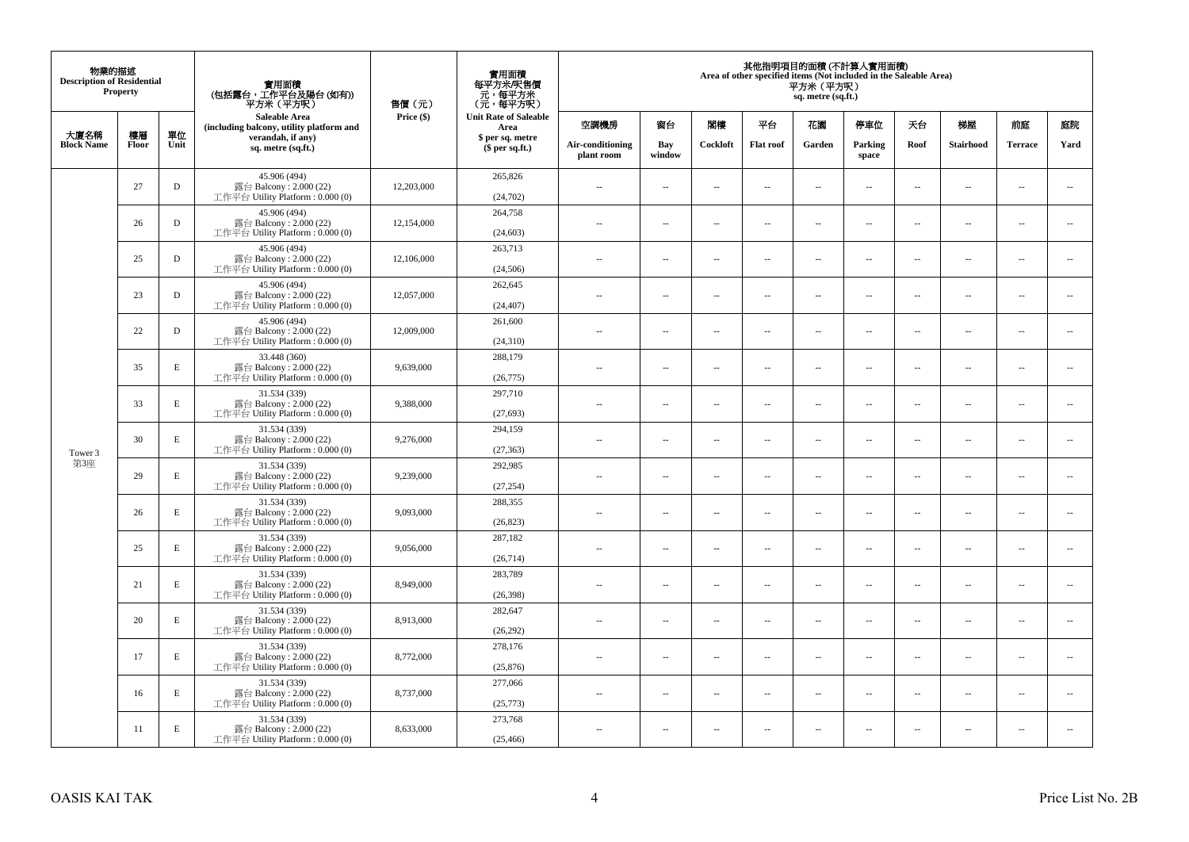| 物業的描述<br><b>Description of Residential</b> | <b>Property</b> |             | 實用面積<br>(包括露台,工作平台及陽台(如有))<br>平方米(平方呎)                                      | 售價(元)      | 實用面積<br>每平方米/呎售價<br>- 元, 每平方米<br>(元, 每平方呎) |                                |                          |                          |                          | 平方米 (平方呎)<br>sq. metre (sq.ft.) | 其他指明項目的面積 (不計算入實用面積)<br>Area of other specified items (Not included in the Saleable Area) |                          |                          |                          |                          |
|--------------------------------------------|-----------------|-------------|-----------------------------------------------------------------------------|------------|--------------------------------------------|--------------------------------|--------------------------|--------------------------|--------------------------|---------------------------------|-------------------------------------------------------------------------------------------|--------------------------|--------------------------|--------------------------|--------------------------|
| 大廈名稱                                       | 樓層              | 單位          | <b>Saleable Area</b><br>(including balcony, utility platform and            | Price (\$) | <b>Unit Rate of Saleable</b><br>Area       | 空調機房                           | 窗台                       | 閣樓                       | 平台                       | 花園                              | 停車位                                                                                       | 天台                       | 梯屋                       | 前庭                       | 庭院                       |
| <b>Block Name</b>                          | Floor           | Unit        | verandah, if any)<br>sq. metre (sq.ft.)                                     |            | \$ per sq. metre<br>\$per sq.ft.)          | Air-conditioning<br>plant room | Bay<br>window            | Cockloft                 | <b>Flat</b> roof         | Garden                          | Parking<br>space                                                                          | Roof                     | Stairhood                | <b>Terrace</b>           | Yard                     |
|                                            | 27              | $\mathbf D$ | 45.906 (494)<br>露台 Balcony: 2.000 (22)<br>工作平台 Utility Platform: 0.000 (0)  | 12,203,000 | 265,826<br>(24, 702)                       | $\ddot{\phantom{a}}$           | $\overline{\phantom{a}}$ | $\sim$                   | μ.                       | $\sim$                          | $\sim$                                                                                    | $\overline{\phantom{a}}$ | Ξ.                       | $\ddot{\phantom{a}}$     | $\overline{\phantom{a}}$ |
|                                            | 26              | $\mathbf D$ | 45.906 (494)<br>露台 Balcony: 2.000 (22)<br>工作平台 Utility Platform: 0.000 (0)  | 12,154,000 | 264,758<br>(24, 603)                       | $\sim$                         | $\overline{a}$           | $\sim$                   | $\sim$                   | $\sim$                          | $\sim$                                                                                    | $\sim$                   | $\sim$                   | $\sim$                   | $\mathbf{u}$             |
|                                            | 25              | $\mathbf D$ | 45.906 (494)<br>露台 Balcony: 2.000 (22)<br>工作平台 Utility Platform: 0.000 (0)  | 12,106,000 | 263,713<br>(24, 506)                       | $\overline{\phantom{a}}$       | $\overline{\phantom{a}}$ | $\overline{\phantom{a}}$ | --                       | $\overline{\phantom{a}}$        | $\overline{\phantom{a}}$                                                                  | $\overline{\phantom{a}}$ | $\overline{\phantom{a}}$ | $\overline{\phantom{a}}$ | $\overline{\phantom{a}}$ |
|                                            | 23              | $\mathbf D$ | 45.906 (494)<br>露台 Balcony: 2.000 (22)<br>工作平台 Utility Platform: 0.000 (0)  | 12,057,000 | 262,645<br>(24, 407)                       | $\sim$                         | $\overline{\phantom{a}}$ | $\sim$                   | $\sim$                   | $\overline{\phantom{a}}$        | $\sim$                                                                                    | $\sim$                   | $\sim$                   | $\overline{\phantom{a}}$ | $\sim$                   |
|                                            | 22              | D           | 45.906 (494)<br>露台 Balcony: 2.000 (22)<br>工作平台 Utility Platform: 0.000 (0)  | 12,009,000 | 261,600<br>(24,310)                        |                                | μ.                       | ÷.                       | μ.                       | $\sim$                          | $\sim$                                                                                    | $\sim$                   | Ξ.                       | $\ddot{\phantom{a}}$     | $\sim$                   |
|                                            | 35              | $\mathbf E$ | 33.448 (360)<br>露台 Balcony: 2.000 (22)<br>工作平台 Utility Platform: 0.000 (0)  | 9,639,000  | 288,179<br>(26, 775)                       | ×.                             | $\sim$                   | $\sim$                   | $\sim$                   | $\sim$                          | $\sim$                                                                                    | $\sim$                   | $\overline{a}$           | $\sim$                   | $\sim$                   |
|                                            | 33              | E           | 31.534 (339)<br>露台 Balcony: 2.000 (22)<br>工作平台 Utility Platform: 0.000 (0)  | 9,388,000  | 297,710<br>(27, 693)                       | $\sim$                         | $\overline{\phantom{a}}$ | $\sim$                   | $\overline{\phantom{a}}$ | $\overline{\phantom{a}}$        | $\overline{\phantom{a}}$                                                                  | $\overline{\phantom{a}}$ | $\overline{\phantom{a}}$ | $\overline{\phantom{a}}$ | $\overline{\phantom{a}}$ |
| Tower 3                                    | 30              | E           | 31.534 (339)<br>露台 Balcony: 2.000 (22)<br>工作平台 Utility Platform: 0.000 (0)  | 9,276,000  | 294.159<br>(27, 363)                       | $\sim$                         | $\overline{a}$           | $\sim$                   | $\sim$                   | $\overline{a}$                  | $\sim$                                                                                    | $\overline{\phantom{a}}$ | $\overline{\phantom{a}}$ | $\sim$                   | $\overline{\phantom{a}}$ |
| 第3座                                        | 29              | $\mathbf E$ | 31.534 (339)<br>露台 Balcony: 2.000 (22)<br>工作平台 Utility Platform: 0.000 (0)  | 9,239,000  | 292,985<br>(27, 254)                       | $\overline{\phantom{a}}$       | $\sim$                   | $\sim$                   | $\sim$                   | $\sim$                          | $\sim$                                                                                    | $\overline{\phantom{a}}$ | $\overline{a}$           | $\sim$                   | $\ddot{\phantom{a}}$     |
|                                            | 26              | $\mathbf E$ | 31.534 (339)<br>露台 Balcony: 2.000 (22)<br>工作平台 Utility Platform: 0.000 (0)  | 9,093,000  | 288,355<br>(26, 823)                       | $\sim$                         | $\sim$                   | $\sim$                   | $\sim$                   | $\sim$ $\sim$                   | $\overline{\phantom{a}}$                                                                  | $\sim$                   | $\sim$                   | $\overline{\phantom{a}}$ | $\overline{\phantom{a}}$ |
|                                            | 25              | E           | 31.534 (339)<br>露台 Balcony: 2.000 (22)<br>工作平台 Utility Platform : 0.000 (0) | 9,056,000  | 287,182<br>(26,714)                        |                                | $\overline{\phantom{a}}$ | $\sim$                   | μ.                       | $\sim$                          | $\sim$                                                                                    | $\overline{\phantom{a}}$ | Ξ.                       | $\ddot{\phantom{a}}$     | $\sim$                   |
|                                            | 21              | E           | 31.534 (339)<br>露台 Balcony: 2.000 (22)<br>工作平台 Utility Platform : 0.000 (0) | 8,949,000  | 283,789<br>(26, 398)                       | $\sim$                         | $\overline{a}$           | $\sim$                   | $\sim$                   | $\overline{a}$                  | $\sim$                                                                                    | $\overline{\phantom{a}}$ | $\overline{\phantom{a}}$ | $\sim$                   | $\sim$                   |
|                                            | 20              | $\mathbf E$ | 31.534 (339)<br>露台 Balcony: 2.000 (22)<br>工作平台 Utility Platform : 0.000 (0) | 8,913,000  | 282,647<br>(26,292)                        | 44                             | $\overline{\phantom{a}}$ | $\sim$                   | μ.                       | $\overline{\phantom{a}}$        | $\sim$                                                                                    | $\overline{\phantom{a}}$ | Ξ.                       | $\ddot{\phantom{a}}$     | $\sim$                   |
|                                            | 17              | E           | 31.534 (339)<br>露台 Balcony: 2.000 (22)<br>工作平台 Utility Platform : 0.000 (0) | 8,772,000  | 278,176<br>(25, 876)                       | $\sim$                         | $\sim$                   | $\sim$                   | $\sim$                   | $\sim$ $\sim$                   | $\sim$                                                                                    | $\sim$                   | $\sim$                   | $\sim$                   | $\sim$                   |
|                                            | 16              | E           | 31.534 (339)<br>露台 Balcony: 2.000 (22)<br>工作平台 Utility Platform: 0.000 (0)  | 8,737,000  | 277,066<br>(25,773)                        | $\sim$                         | $\overline{\phantom{a}}$ | $\sim$                   | μ.                       | $\overline{\phantom{a}}$        | $\sim$                                                                                    | $\overline{\phantom{a}}$ | $\overline{\phantom{a}}$ | $\sim$                   | $\sim$                   |
|                                            | 11              | E           | 31.534 (339)<br>露台 Balcony: 2.000 (22)<br>工作平台 Utility Platform: 0.000 (0)  | 8,633,000  | 273,768<br>(25, 466)                       | $\sim$                         | $\sim$                   | $\sim$                   | $\sim$                   | $\sim$ $\sim$                   | $\sim$                                                                                    | $\overline{\phantom{a}}$ | $\sim$                   | $\sim$                   | $\sim$                   |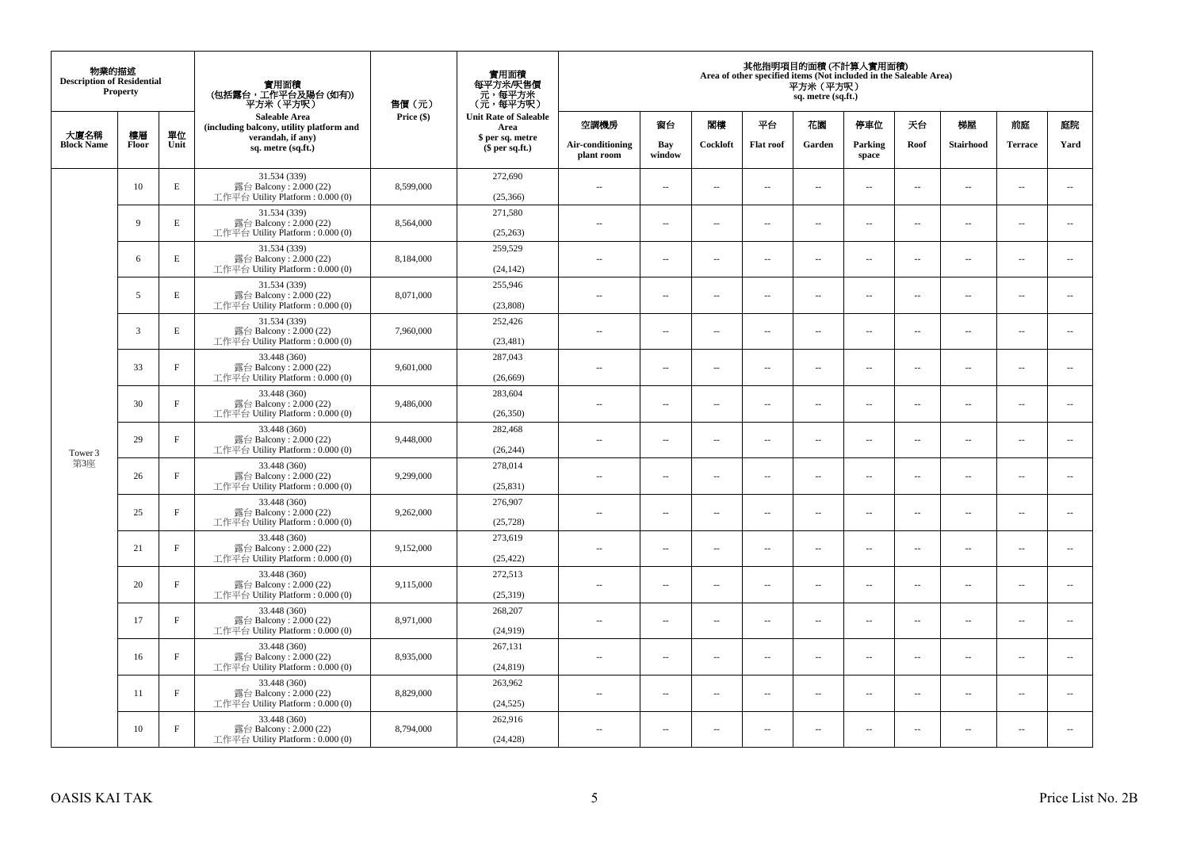| 物業的描述<br><b>Description of Residential</b> | <b>Property</b> |             | 實用面積<br>(包括露台,工作平台及陽台(如有))<br>平方米(平方呎)                                       | 售價(元)      | 實用面積<br>每平方米/呎售價<br>- 元, 每平方米<br>(元, 每平方呎) |                                |                          |                          |                  | 平方米(平方呎)<br>sq. metre (sq.ft.) | 其他指明項目的面積 (不計算入實用面積)<br>Area of other specified items (Not included in the Saleable Area) |                          |                          |                          |                          |
|--------------------------------------------|-----------------|-------------|------------------------------------------------------------------------------|------------|--------------------------------------------|--------------------------------|--------------------------|--------------------------|------------------|--------------------------------|-------------------------------------------------------------------------------------------|--------------------------|--------------------------|--------------------------|--------------------------|
| 大廈名稱                                       | 樓層              | 單位          | <b>Saleable Area</b><br>(including balcony, utility platform and             | Price (\$) | <b>Unit Rate of Saleable</b><br>Area       | 空調機房                           | 窗台                       | 閣樓                       | 平台               | 花園                             | 停車位                                                                                       | 天台                       | 梯屋                       | 前庭                       | 庭院                       |
| <b>Block Name</b>                          | Floor           | Unit        | verandah, if any)<br>sq. metre (sq.ft.)                                      |            | \$ per sq. metre<br>$$$ per sq.ft.)        | Air-conditioning<br>plant room | Bay<br>window            | Cockloft                 | <b>Flat</b> roof | Garden                         | Parking<br>space                                                                          | Roof                     | Stairhood                | <b>Terrace</b>           | Yard                     |
|                                            | 10              | $\mathbf E$ | 31.534 (339)<br>露台 Balcony: 2.000 (22)<br>工作平台 Utility Platform: 0.000 (0)   | 8,599,000  | 272,690<br>(25,366)                        | $\ddot{\phantom{a}}$           | $\overline{\phantom{a}}$ | $\sim$                   | μ.               | $\sim$                         | $\sim$                                                                                    | $\overline{\phantom{a}}$ | $\overline{\phantom{a}}$ | $\ddot{\phantom{a}}$     | $\overline{\phantom{a}}$ |
|                                            | 9               | E           | 31.534 (339)<br>露台 Balcony: 2.000 (22)<br>工作平台 Utility Platform: 0.000 (0)   | 8,564,000  | 271.580<br>(25, 263)                       | $\sim$                         | $\overline{\phantom{a}}$ | $\sim$                   | μ.               | $\overline{a}$                 | $\sim$                                                                                    | $\overline{\phantom{a}}$ | $\overline{\phantom{a}}$ | $\ddot{\phantom{a}}$     | $\overline{\phantom{a}}$ |
|                                            | 6               | $\mathbf E$ | 31.534 (339)<br>露台 Balcony: 2.000 (22)<br>工作平台 Utility Platform : $0.000(0)$ | 8,184,000  | 259,529<br>(24, 142)                       | $\sim$                         | $\overline{\phantom{a}}$ | $\sim$                   | μ.               | $\ldots$                       | $\overline{\phantom{a}}$                                                                  | $\overline{\phantom{a}}$ | $\overline{\phantom{a}}$ | $\ldots$                 | $\overline{\phantom{a}}$ |
|                                            | 5               | E           | 31.534 (339)<br>露台 Balcony: 2.000 (22)<br>工作平台 Utility Platform: 0.000 (0)   | 8,071,000  | 255,946<br>(23,808)                        | $\sim$                         | $\sim$                   | $\sim$                   | $\sim$           | $\sim$ $\sim$                  | $\sim$                                                                                    | $\overline{\phantom{a}}$ | $\sim$                   | $\sim$                   | $\overline{\phantom{a}}$ |
|                                            | 3               | $\mathbf E$ | 31.534 (339)<br>露台 Balcony: 2.000 (22)<br>工作平台 Utility Platform: 0.000 (0)   | 7,960,000  | 252,426<br>(23, 481)                       |                                | $\overline{\phantom{a}}$ | $\sim$                   | $\overline{a}$   | $\sim$                         | $\sim$                                                                                    | $\overline{\phantom{a}}$ | Ξ.                       | $\ddot{\phantom{a}}$     | $\sim$                   |
|                                            | 33              | $\mathbf F$ | 33.448 (360)<br>露台 Balcony: 2.000 (22)<br>工作平台 Utility Platform: 0.000 (0)   | 9,601,000  | 287,043<br>(26, 669)                       | $\sim$                         | $\overline{a}$           | $\sim$                   | $\sim$           | $\overline{a}$                 | $\sim$                                                                                    | $\sim$                   | $\sim$                   | $\overline{\phantom{a}}$ | $\sim$                   |
|                                            | 30              | $\mathbf F$ | 33.448 (360)<br>露台 Balcony: 2.000 (22)<br>工作平台 Utility Platform: 0.000 (0)   | 9,486,000  | 283,604<br>(26, 350)                       | $\sim$                         | ۰.                       | $\sim$                   | $\sim$           | $\overline{\phantom{a}}$       | $\sim$                                                                                    | $\overline{\phantom{a}}$ | $\overline{\phantom{a}}$ | $\sim$                   | $\overline{\phantom{a}}$ |
| Tower 3                                    | 29              | $\mathbf F$ | 33.448 (360)<br>露台 Balcony: 2.000 (22)<br>工作平台 Utility Platform: 0.000 (0)   | 9,448,000  | 282,468<br>(26, 244)                       | $\sim$                         | $\sim$                   | $\sim$                   | $\sim$           | $\sim$                         | $\sim$                                                                                    | $\overline{\phantom{a}}$ | $\sim$                   | $\sim$                   | $\sim$                   |
| 第3座                                        | 26              | $_{\rm F}$  | 33.448 (360)<br>露台 Balcony: 2.000 (22)<br>工作平台 Utility Platform: 0.000 (0)   | 9,299,000  | 278,014<br>(25, 831)                       | $\sim$                         | $\overline{\phantom{a}}$ | $\sim$                   | μ.               | $\sim$                         | $\sim$                                                                                    | $\overline{\phantom{a}}$ | $\sim$                   | $\ddot{\phantom{a}}$     | $\overline{\phantom{a}}$ |
|                                            | 25              | $\rm F$     | 33.448 (360)<br>露台 Balcony: 2.000 (22)<br>工作平台 Utility Platform: 0.000 (0)   | 9,262,000  | 276,907<br>(25, 728)                       | $\sim$                         | $\overline{\phantom{a}}$ | $\sim$                   | μ.               | $\overline{a}$                 | $\sim$                                                                                    | $\overline{\phantom{a}}$ | $\overline{\phantom{a}}$ | $\ddot{\phantom{a}}$     | $\overline{\phantom{a}}$ |
|                                            | 21              | $\mathbf F$ | 33.448 (360)<br>露台 Balcony: 2.000 (22)<br>工作平台 Utility Platform : $0.000(0)$ | 9,152,000  | 273,619<br>(25, 422)                       | $\overline{\phantom{a}}$       | $\ldots$                 | $\sim$                   | $\sim$           | $\overline{\phantom{a}}$       | $\overline{\phantom{a}}$                                                                  | $\overline{\phantom{a}}$ | $\overline{a}$           | $\ldots$                 | $\sim$                   |
|                                            | 20              | $\rm F$     | 33.448 (360)<br>露台 Balcony: 2.000 (22)<br>工作平台 Utility Platform: 0.000 (0)   | 9,115,000  | 272,513<br>(25,319)                        | ×.                             | $\sim$                   | $\sim$                   | $\sim$           | $\sim$ $\sim$                  | $\sim$                                                                                    | $\overline{\phantom{a}}$ | $\sim$                   | $\sim$                   | $\sim$                   |
|                                            | 17              | $\mathbf F$ | 33.448 (360)<br>露台 Balcony: 2.000 (22)<br>工作平台 Utility Platform: 0.000 (0)   | 8,971,000  | 268,207<br>(24,919)                        | $\overline{\phantom{a}}$       | $\overline{\phantom{a}}$ | $\sim$                   | $\overline{a}$   | $\overline{\phantom{a}}$       | $\sim$                                                                                    | $\overline{\phantom{a}}$ | $\overline{\phantom{a}}$ | $\ddot{\phantom{a}}$     | $\sim$                   |
|                                            | 16              | $\mathbf F$ | 33.448 (360)<br>露台 Balcony: 2.000 (22)<br>工作平台 Utility Platform : $0.000(0)$ | 8,935,000  | 267,131<br>(24, 819)                       | $\sim$                         | $\overline{\phantom{a}}$ | $\sim$                   | $\sim$           | $\overline{a}$                 | $\sim$                                                                                    | $\sim$                   | $\overline{\phantom{a}}$ | $\ddot{\phantom{a}}$     | $\sim$                   |
|                                            | 11              | $\mathbf F$ | 33.448 (360)<br>露台 Balcony: 2.000 (22)<br>工作平台 Utility Platform: 0.000 (0)   | 8,829,000  | 263,962<br>(24, 525)                       | $\sim$ $-$                     | $\overline{\phantom{a}}$ | $\sim$                   | μ.               | $\overline{\phantom{a}}$       | $\sim$                                                                                    | $\overline{\phantom{a}}$ | $\overline{\phantom{a}}$ | $\ddot{\phantom{a}}$     | $\sim$                   |
|                                            | 10              | $\rm F$     | 33.448 (360)<br>露台 Balcony: 2.000 (22)<br>工作平台 Utility Platform: 0.000 (0)   | 8,794,000  | 262,916<br>(24, 428)                       | 44                             | $\overline{\phantom{a}}$ | $\overline{\phantom{a}}$ | --               | $\overline{\phantom{a}}$       | $\overline{\phantom{a}}$                                                                  | $\overline{\phantom{a}}$ | $\overline{\phantom{a}}$ | $\ddotsc$                | $\sim$                   |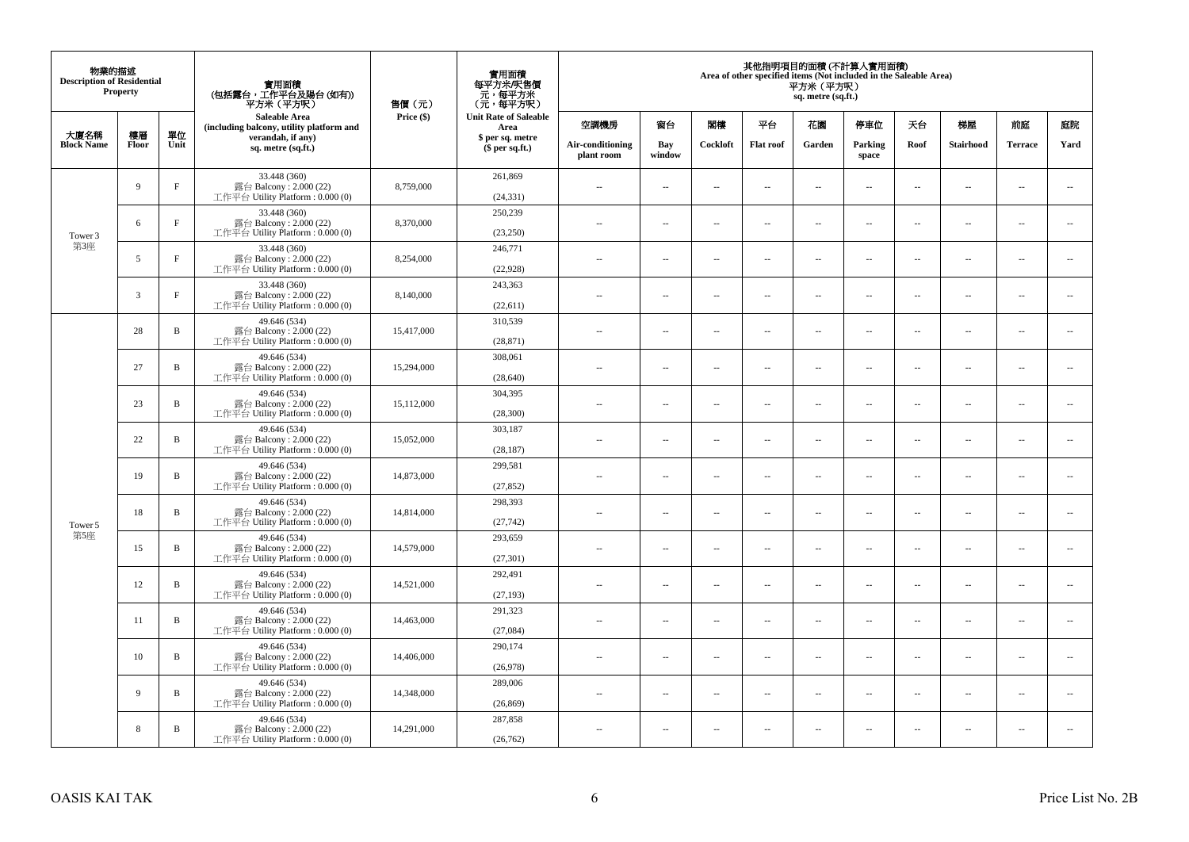| 物業的描述<br><b>Description of Residential</b> | <b>Property</b> |              | 實用面積<br>(包括露台,工作平台及陽台(如有))<br>平方米(平方呎)                                       | 售價(元)      | 實用面積<br>每平方米/呎售價<br>- 元, 每平方米<br>(元, 每平方呎) |                                     |                                |                          |                | 平方米(平方呎)<br>sq. metre (sq.ft.) | 其他指明項目的面積 (不計算入實用面積)<br>Area of other specified items (Not included in the Saleable Area) |                          |                          |                          |                          |      |
|--------------------------------------------|-----------------|--------------|------------------------------------------------------------------------------|------------|--------------------------------------------|-------------------------------------|--------------------------------|--------------------------|----------------|--------------------------------|-------------------------------------------------------------------------------------------|--------------------------|--------------------------|--------------------------|--------------------------|------|
|                                            |                 |              | <b>Saleable Area</b><br>(including balcony, utility platform and             | Price (\$) | <b>Unit Rate of Saleable</b><br>Area       | 空調機房                                | 窗台                             | 閣樓                       | 平台             | 花園                             | 停車位                                                                                       | 天台                       | 梯屋                       | 前庭                       | 庭院                       |      |
| 大廈名稱<br><b>Block Name</b>                  | 樓層<br>Floor     | 單位<br>Unit   | verandah, if any)<br>sq. metre (sq.ft.)                                      |            |                                            | \$ per sq. metre<br>$$$ per sq.ft.) | Air-conditioning<br>plant room | Bay<br>window            | Cockloft       | <b>Flat</b> roof               | Garden                                                                                    | Parking<br>space         | Roof                     | Stairhood                | <b>Terrace</b>           | Yard |
|                                            | 9               | $\mathbf F$  | 33.448 (360)<br>露台 Balcony: 2.000 (22)<br>工作平台 Utility Platform: 0.000 (0)   | 8,759,000  | 261,869<br>(24, 331)                       | $\ddot{\phantom{a}}$                | $\overline{\phantom{a}}$       | $\sim$                   | μ.             | $\sim$                         | $\sim$                                                                                    | $\overline{\phantom{a}}$ | $\overline{\phantom{a}}$ | $\overline{\phantom{a}}$ | $\overline{\phantom{a}}$ |      |
| Tower 3                                    | 6               | $\rm F$      | 33.448 (360)<br>露台 Balcony: 2.000 (22)<br>工作平台 Utility Platform: 0.000 (0)   | 8,370,000  | 250.239<br>(23,250)                        | $\sim$                              | $\overline{\phantom{a}}$       | $\sim$                   | μ.             | $\overline{a}$                 | $\sim$                                                                                    | $\overline{\phantom{a}}$ | $\overline{\phantom{a}}$ | $\ddot{\phantom{a}}$     | $\overline{\phantom{a}}$ |      |
| 第3座                                        | 5               | $\mathbf F$  | 33.448 (360)<br>露台 Balcony: 2.000 (22)<br>工作平台 Utility Platform : $0.000(0)$ | 8,254,000  | 246,771<br>(22,928)                        | $\sim$                              | $\overline{\phantom{a}}$       | $\sim$                   | μ.             | $\ldots$                       | $\overline{\phantom{a}}$                                                                  | $\overline{\phantom{a}}$ | $\overline{\phantom{a}}$ | $\ldots$                 | $\overline{\phantom{a}}$ |      |
|                                            | 3               | $\rm F$      | 33.448 (360)<br>露台 Balcony: 2.000 (22)<br>工作平台 Utility Platform: 0.000 (0)   | 8,140,000  | 243,363<br>(22,611)                        | $\sim$                              | $\sim$                         | $\sim$                   | $\sim$         | $\sim$ $\sim$                  | $\sim$                                                                                    | $\overline{\phantom{a}}$ | $\sim$                   | $\sim$                   | $\overline{\phantom{a}}$ |      |
|                                            | 28              | $\, {\bf B}$ | 49.646 (534)<br>露台 Balcony: 2.000 (22)<br>工作平台 Utility Platform: 0.000 (0)   | 15,417,000 | 310,539<br>(28, 871)                       |                                     | $\overline{\phantom{a}}$       | $\sim$                   | $\overline{a}$ | $\sim$                         | $\sim$                                                                                    | $\overline{\phantom{a}}$ | Ξ.                       | $\ddot{\phantom{a}}$     | $\sim$                   |      |
|                                            | 27              | $\, {\bf B}$ | 49.646 (534)<br>露台 Balcony: 2.000 (22)<br>工作平台 Utility Platform: 0.000 (0)   | 15,294,000 | 308,061<br>(28, 640)                       | $\sim$                              | $\overline{a}$                 | $\sim$                   | $\sim$         | $\overline{a}$                 | $\sim$                                                                                    | $\sim$                   | $\overline{a}$           | $\overline{\phantom{a}}$ | $\sim$                   |      |
|                                            | 23              | B            | 49.646 (534)<br>露台 Balcony: 2.000 (22)<br>工作平台 Utility Platform: 0.000 (0)   | 15.112.000 | 304,395<br>(28,300)                        | $\sim$                              | ۰.                             | $\sim$                   | $\sim$         | $\overline{\phantom{a}}$       | $\sim$                                                                                    | $\overline{\phantom{a}}$ | $\overline{\phantom{a}}$ | $\sim$                   | $\overline{\phantom{a}}$ |      |
|                                            | 22              | $\, {\bf B}$ | 49.646 (534)<br>露台 Balcony: 2.000 (22)<br>工作平台 Utility Platform: 0.000 (0)   | 15,052,000 | 303,187<br>(28, 187)                       | $\sim$                              | $\sim$                         | $\sim$                   | $\sim$         | $\sim$                         | $\sim$                                                                                    | $\overline{\phantom{a}}$ | $\sim$                   | $\sim$                   | $\sim$                   |      |
|                                            | 19              | $\, {\bf B}$ | 49.646 (534)<br>露台 Balcony: $2.000(22)$<br>工作平台 Utility Platform: 0.000 (0)  | 14,873,000 | 299,581<br>(27, 852)                       | $\sim$                              | $\overline{\phantom{a}}$       | $\sim$                   | μ.             | $\sim$                         | $\sim$                                                                                    | $\overline{\phantom{a}}$ | $\sim$                   | $\ddot{\phantom{a}}$     | $\ddot{\phantom{a}}$     |      |
| Tower 5                                    | 18              | $\, {\bf B}$ | 49.646 (534)<br>露台 Balcony: 2.000 (22)<br>工作平台 Utility Platform: 0.000 (0)   | 14,814,000 | 298,393<br>(27, 742)                       | $\sim$                              | $\overline{\phantom{a}}$       | $\sim$                   | μ.             | $\overline{a}$                 | $\sim$                                                                                    | $\overline{\phantom{a}}$ | $\overline{\phantom{a}}$ | $\ddot{\phantom{a}}$     | $\overline{\phantom{a}}$ |      |
| 第5座                                        | 15              | $\mathbf B$  | 49.646 (534)<br>露台 Balcony: 2.000 (22)<br>工作平台 Utility Platform : $0.000(0)$ | 14,579,000 | 293,659<br>(27, 301)                       | $\overline{\phantom{a}}$            | $\ldots$                       | $\sim$                   | $\sim$         | $\overline{a}$                 | $\overline{\phantom{a}}$                                                                  | $\overline{\phantom{a}}$ | $\overline{a}$           | $\ldots$                 | $\overline{\phantom{a}}$ |      |
|                                            | 12              | $\, {\bf B}$ | 49.646 (534)<br>露台 Balcony: 2.000 (22)<br>工作平台 Utility Platform: 0.000 (0)   | 14,521,000 | 292,491<br>(27, 193)                       | ×.                                  | $\sim$                         | $\sim$                   | $\sim$         | $\sim$ $\sim$                  | $\sim$                                                                                    | $\overline{\phantom{a}}$ | $\sim$                   | $\sim$                   | $\sim$                   |      |
|                                            | 11              | B            | 49.646 (534)<br>露台 Balcony: 2.000 (22)<br>工作平台 Utility Platform : 0.000 (0)  | 14,463,000 | 291,323<br>(27,084)                        | $\overline{\phantom{a}}$            | $\overline{\phantom{a}}$       | $\sim$                   | $\overline{a}$ | $\overline{\phantom{a}}$       | $\sim$                                                                                    | $\overline{\phantom{a}}$ | $\overline{\phantom{a}}$ | $\ddot{\phantom{a}}$     | $\sim$                   |      |
|                                            | 10              | $\, {\bf B}$ | 49.646 (534)<br>露台 Balcony: 2.000 (22)<br>工作平台 Utility Platform: 0.000 (0)   | 14,406,000 | 290,174<br>(26,978)                        | $\sim$                              | $\overline{\phantom{a}}$       | $\sim$                   | $\sim$         | $\overline{a}$                 | $\sim$                                                                                    | $\sim$                   | $\overline{\phantom{a}}$ | $\ddot{\phantom{a}}$     | $\sim$                   |      |
|                                            | 9               | B            | 49.646 (534)<br>露台 Balcony: 2.000 (22)<br>工作平台 Utility Platform: 0.000 (0)   | 14,348,000 | 289,006<br>(26, 869)                       | $\sim$ $-$                          | $\overline{\phantom{a}}$       | $\sim$                   | μ.             | $\overline{\phantom{a}}$       | $\sim$                                                                                    | $\overline{\phantom{a}}$ | $\overline{\phantom{a}}$ | $\ddot{\phantom{a}}$     | $\overline{\phantom{a}}$ |      |
|                                            | 8               | $\, {\bf B}$ | 49.646 (534)<br>露台 Balcony: 2.000 (22)<br>工作平台 Utility Platform: 0.000 (0)   | 14,291,000 | 287,858<br>(26, 762)                       | 44                                  | $\overline{\phantom{a}}$       | $\overline{\phantom{a}}$ | --             | $\overline{\phantom{a}}$       | $\overline{\phantom{a}}$                                                                  | $\overline{\phantom{a}}$ | $\overline{\phantom{a}}$ | $\ddotsc$                | $\sim$                   |      |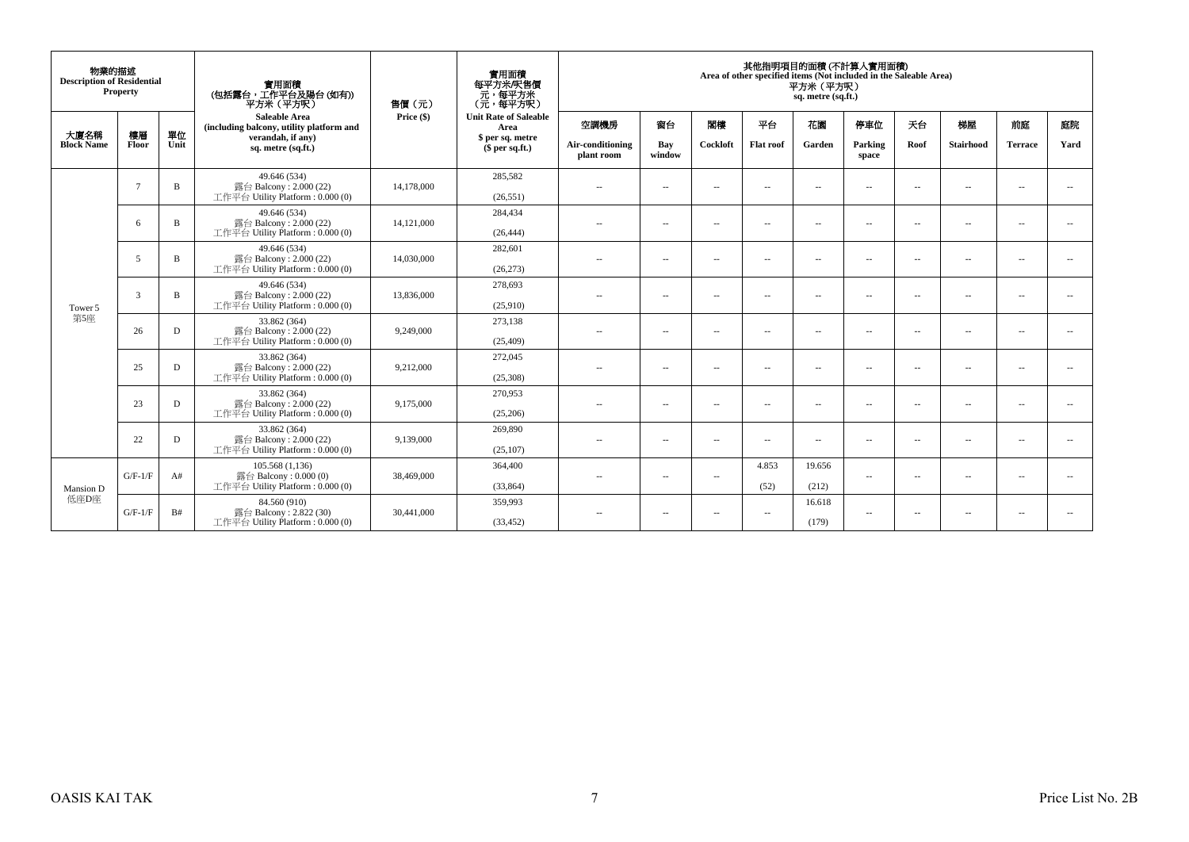| 物業的描述<br><b>Description of Residential</b> | Property      |             | 實用面積<br>(包括露台,工作平台及陽台(如有))<br>平方米(平方呎)                                     | 售價(元)      | 實用面積<br>每平方米/呎售價<br>- 元, 每平方米<br>(元, 每平方呎) |                                |                          |                          |                          | 其他指明項目的面積 (不計算入實用面積)<br>Area of other specified items (Not included in the Saleable Area)<br>平方米 (平方呎)<br>sq. metre (sq.ft.) |                          |                          |                          |                |                          |
|--------------------------------------------|---------------|-------------|----------------------------------------------------------------------------|------------|--------------------------------------------|--------------------------------|--------------------------|--------------------------|--------------------------|------------------------------------------------------------------------------------------------------------------------------|--------------------------|--------------------------|--------------------------|----------------|--------------------------|
| 大廈名稱                                       | 樓層            | 單位          | Saleable Area<br>(including balcony, utility platform and                  | Price (\$) | <b>Unit Rate of Saleable</b><br>Area       | 空調機房                           | 窗台                       | 閣樓                       | 平台                       | 花園                                                                                                                           | 停車位                      | 天台                       | 梯屋                       | 前庭             | 庭院                       |
| <b>Block Name</b>                          | Floor         | Unit        | verandah, if any)<br>sq. metre (sq.ft.)                                    |            | \$ per sq. metre<br>\$per sq.ft.)          | Air-conditioning<br>plant room | Bay<br>window            | Cockloft                 | <b>Flat</b> roof         | Garden                                                                                                                       | Parking<br>space         | Roof                     | <b>Stairhood</b>         | <b>Terrace</b> | Yard                     |
|                                            |               |             | 49.646 (534)                                                               |            | 285,582                                    |                                |                          |                          |                          |                                                                                                                              |                          |                          |                          |                |                          |
|                                            | $\mathcal{I}$ | B           | 露台 Balcony: 2.000 (22)<br>工作平台 Utility Platform: 0.000 (0)                 | 14,178,000 | (26.551)                                   | $\sim$ $\sim$                  | $\sim$                   | $\sim$                   | $\sim$                   | $\sim$                                                                                                                       | $\sim$                   | $\sim$                   | $\sim$                   | $\sim$         | $\sim$                   |
|                                            |               |             | 49.646 (534)                                                               |            | 284,434                                    |                                |                          |                          |                          | $\sim$                                                                                                                       | $\sim$                   |                          |                          |                |                          |
|                                            | -6            | B           | 露台 Balcony: 2.000 (22)<br>工作平台 Utility Platform: 0.000 (0)                 | 14,121,000 | (26, 444)                                  | $\sim$ $\sim$                  | $\sim$                   | $\sim$ $-$               | $\sim$                   |                                                                                                                              |                          | $\sim$                   | $\sim$                   | $\sim$         | $\sim$                   |
|                                            |               |             | 49.646 (534)                                                               |            | 282,601                                    |                                |                          |                          |                          |                                                                                                                              |                          |                          |                          |                |                          |
|                                            | 5             | $\mathbf B$ | 露台 Balcony: 2.000 (22)<br>工作平台 Utility Platform: 0.000 (0)                 | 14,030,000 | (26, 273)                                  | $\sim$ $-$                     | $\sim$                   | $\overline{a}$           | $\overline{\phantom{a}}$ | $\sim$ $\sim$                                                                                                                | $\sim$                   | $\overline{\phantom{a}}$ | $\overline{\phantom{a}}$ | --             | $\sim$                   |
| Tower 5                                    |               |             | 49.646 (534)                                                               |            | 278,693                                    |                                |                          |                          |                          |                                                                                                                              |                          |                          |                          |                |                          |
|                                            | 3             | B           | 露台 Balcony: 2.000 (22)<br>工作平台 Utility Platform: 0.000 (0)                 | 13,836,000 | (25,910)                                   | $\sim$ $-$                     | $\sim$                   | $\overline{\phantom{a}}$ | $\overline{\phantom{a}}$ | $\sim$                                                                                                                       | $\sim$                   | $\sim$                   | $\overline{\phantom{a}}$ | $\sim$         | $\sim$                   |
| 第5座                                        | 26            |             | 33.862 (364)<br>露台 Balcony: 2.000 (22)<br>工作平台 Utility Platform: 0.000 (0) | 9,249,000  | 273,138                                    | $\sim$                         |                          |                          |                          |                                                                                                                              |                          |                          |                          |                |                          |
|                                            |               | D           |                                                                            |            | (25, 409)                                  |                                | $\sim$                   | $\sim$                   | $\overline{\phantom{a}}$ | $\sim$                                                                                                                       | $\sim$                   | $\overline{\phantom{a}}$ | $\overline{\phantom{a}}$ | $\sim$         | $\overline{\phantom{a}}$ |
|                                            | 25            | D           | 33.862 (364)<br>露台 Balcony: 2.000 (22)                                     | 9,212,000  | 272,045                                    |                                |                          | $\sim$                   |                          | $\sim$                                                                                                                       | $\sim$                   | $\sim$                   |                          |                | $\overline{\phantom{a}}$ |
|                                            |               |             | 工作平台 Utility Platform: 0.000 (0)                                           |            | (25,308)                                   | $\sim$ $-$                     | $\overline{\phantom{a}}$ |                          | $\overline{\phantom{a}}$ |                                                                                                                              |                          |                          | $\overline{\phantom{a}}$ | $\sim$         |                          |
|                                            | 23            | D           | 33.862 (364)<br>露台 Balcony: 2.000 (22)                                     | 9,175,000  | 270,953                                    | $-$                            | $\sim$                   | $\sim$                   | $\sim$                   | $\overline{\phantom{a}}$                                                                                                     | <b>A</b>                 | $\sim$                   | $\overline{\phantom{a}}$ | --             | $\sim$                   |
|                                            |               |             | 工作平台 Utility Platform: 0.000 (0)                                           |            | (25,206)                                   |                                |                          |                          |                          |                                                                                                                              |                          |                          |                          |                |                          |
|                                            | 22            | D           | 33.862 (364)<br>露台 Balcony: 2.000 (22)                                     | 9,139,000  | 269,890                                    | $\sim$ $\sim$                  | $\overline{\phantom{a}}$ | $\sim$ $-$               | $\sim$                   | $\sim$                                                                                                                       | $\sim$                   | $\sim$                   | $\overline{\phantom{a}}$ | $\sim$         | $\sim$                   |
|                                            |               |             | 工作平台 Utility Platform: 0.000 (0)                                           |            | (25, 107)                                  |                                |                          |                          |                          |                                                                                                                              |                          |                          |                          |                |                          |
| Mansion D<br>低座D座                          | $G/F-1/F$     | A#          | 105.568(1,136)                                                             | 38,469,000 | 364,400                                    |                                |                          |                          | 4.853                    | 19.656                                                                                                                       | $\overline{\phantom{a}}$ | $\overline{\phantom{a}}$ | $\overline{\phantom{a}}$ | $\sim$         | $\sim$                   |
|                                            |               |             | 露台 Balcony: $0.000(0)$<br>工作平台 Utility Platform: 0.000 (0)                 |            | (33, 864)                                  | $\sim$                         | $\overline{\phantom{a}}$ | $\sim$                   | (52)                     | (212)                                                                                                                        |                          |                          |                          |                |                          |
|                                            | $G/F-1/F$     |             | 84.560 (910)<br>露台 Balcony: 2.822 (30)                                     |            | 359,993                                    | $\sim$ $-$                     | $\sim$                   | $\sim$ $\sim$            | $\sim$                   | 16.618                                                                                                                       | --                       | $\sim$                   | $ -$                     | $\sim$         | $\sim$                   |
|                                            |               | B#          | 工作平台 Utility Platform: 0.000 (0)                                           | 30,441,000 | (33, 452)                                  |                                |                          |                          |                          | (179)                                                                                                                        |                          |                          |                          |                |                          |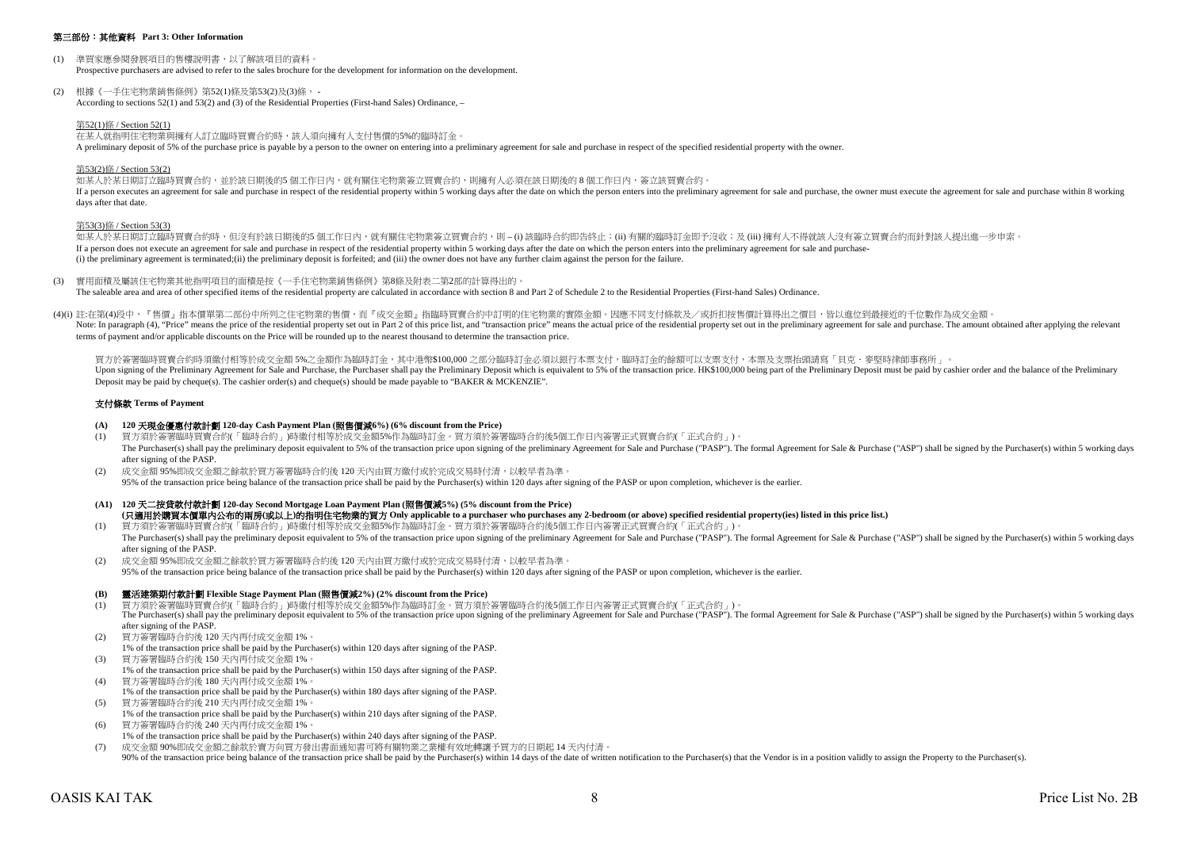# 第三部份:其他資料 **Part 3: Other Information**

- (1) 準買家應參閱發展項目的售樓說明書,以了解該項目的資料。 Prospective purchasers are advised to refer to the sales brochure for the development for information on the development.
- (2) 根據《一手住宅物業銷售條例》第52(1)條及第53(2)及(3)條, According to sections 52(1) and 53(2) and (3) of the Residential Properties (First-hand Sales) Ordinance, –

# 第52(1)條 / Section 52(1)

在某人就指明住宅物業與擁有人訂立臨時買賣合約時,該人須向擁有人支付售價的5%的臨時訂金。

A preliminary deposit of 5% of the purchase price is payable by a person to the owner on entering into a preliminary agreement for sale and purchase in respect of the specified residential property with the owner.

# 第53(2)條 / Section 53(2)

如某人於某日期訂立臨時買賣合約,並於該日期後的5個工作日內,就有關住宅物業簽立買賣合約,則擁有人必須在該日期後的 8 個工作日内,簽立該買賣合約。 If a person executes an agreement for sale and purchase in respect of the residential property within 5 working days after the date on which the person enters into the preliminary agreement for sale and purchase, the owner days after that date.

#### 第53(3)條 / Section 53(3)

如某人於某日期訂立臨時冒賣合約時,但沒有於該日期後的5 個工作日內,就有關住宅物業簽立買賣合約,則 – (i) 該臨時合約即告終止;(ii) 有關的臨時訂金即予沒收;及 (iii) 擁有人不得就該人沒有簽立買賣合約而針對該人提出進一步申索。 If a person does not execute an agreement for sale and purchase in respect of the residential property within 5 working days after the date on which the person enters into the preliminary agreement for sale and purchase- (i) the preliminary agreement is terminated;(ii) the preliminary deposit is forfeited; and (iii) the owner does not have any further claim against the person for the failure.

(3) 實用面積及屬該住宅物業其他指明項目的面積是按《一手住宅物業銷售條例》第8條及附表二第2部的計算得出的。 The saleable area and area of other specified items of the residential property are calculated in accordance with section 8 and Part 2 of Schedule 2 to the Residential Properties (First-hand Sales) Ordinance.

(4)(i) 註:在第(4)段中,『售價』指本價單第二部份中所列之住宅物業的售價,而『成交金額』指臨時買賣合約中訂明的住宅物業的實際金額。因應不同支付條款及/或折扣按售價計算得出之價目,皆以進位到最接近的千位數作為成交金額 Note: In paragraph (4), "Price" means the price of the residential property set out in Part 2 of this price list, and "transaction price" means the actual price of the residential property set out in Part 2 of this price l terms of payment and/or applicable discounts on the Price will be rounded up to the nearest thousand to determine the transaction price.

買方於簽署臨時買賣合約時須繳付相等於成交金額 5%之金額作為臨時訂金,其中港幣\$100,000 之部分臨時訂金必須以銀行本票支付,臨時訂金的餘額可以支票支付,本票及支票抬頭請寫「貝克.麥堅時律師事務所」。 Upon signing of the Preliminary Agreement for Sale and Purchase, the Purchaser shall pay the Preliminary Deposit which is equivalent to 5% of the transaction price. HK\$100,000 being part of the Preliminary Deposit must be Deposit may be paid by cheque(s). The cashier order(s) and cheque(s) should be made payable to "BAKER & MCKENZIE".

# 支付條款 **Terms of Payment**

# **(A) 120** 天現金優惠付款計劃 **120-day Cash Payment Plan (**照售價減**6%) (6% discount from the Price)**

- (1) 買方須於簽署臨時買賣合約(「臨時合約」)時繳付相等於成交金額5%作為臨時訂金。買方須於簽署臨時合約後5個工作日內簽署正式買賣合約(「正式合約」)。 The Purchaser(s) shall pay the preliminary deposit equivalent to 5% of the transaction price upon signing of the preliminary Agreement for Sale and Purchase ("PASP"). The formal Agreement for Sale & Purchase ("ASP") shall after signing of the PASP.
- (2) 成交金額 95%即成交金額之餘款於買方簽署臨時合約後 120 天內由買方繳付或於完成交易時付清,以較早者為準。 95% of the transaction price being balance of the transaction price shall be paid by the Purchaser(s) within 120 days after signing of the PASP or upon completion, whichever is the earlier.
- **(A1) 120** 天二按貸款付款計劃 **120-day Second Mortgage Loan Payment Plan (**照售價減**5%) (5% discount from the Price) (**只適用於購買本價單內公布的兩房**(**或以上**)**的指明住宅物業的買方 **Only applicable to a purchaser who purchases any 2-bedroom (or above) specified residential property(ies) listed in this price list.)**
- (1) 買方須於簽署臨時買賣合約(「臨時合約」)時繳付相等於成交金額5%作為臨時訂金。買方須於簽署臨時合約後5個工作日內簽署正式買賣合約(「正式合約」)。 The Purchaser(s) shall pay the preliminary deposit equivalent to 5% of the transaction price upon signing of the preliminary Agreement for Sale and Purchase ("PASP"). The formal Agreement for Sale & Purchase ("ASP") shall after signing of the PASP.
- (2) 成交金額 95%即成交金額之餘款於買方簽署臨時合約後 120 天內由買方繳付或於完成交易時付清,以較早者為準。 95% of the transaction price being balance of the transaction price shall be paid by the Purchaser(s) within 120 days after signing of the PASP or upon completion, whichever is the earlier.

# **(B)** 靈活建築期付款計劃 **Flexible Stage Payment Plan (**照售價減**2%) (2% discount from the Price)**

- (1) 買方須於簽署臨時買賣合約(「臨時合約」)時繳付相等於成交金額5%作為臨時訂金。買方須於簽署臨時合約後5個工作日內簽署正式買賣合約(「正式合約」)。 The Purchaser(s) shall pay the preliminary deposit equivalent to 5% of the transaction price upon signing of the preliminary Agreement for Sale and Purchase ("PASP"). The formal Agreement for Sale & Purchase ("ASP") shall after signing of the PASP.
- (2) 買方簽署臨時合約後 120 天內再付成交金額 1%。
- 1% of the transaction price shall be paid by the Purchaser(s) within 120 days after signing of the PASP.
- (3) 買方簽署臨時合約後 150 天內再付成交金額 1%。
- 1% of the transaction price shall be paid by the Purchaser(s) within 150 days after signing of the PASP.
- (4) 買方簽署臨時合約後 180 天內再付成交金額 1%。 1% of the transaction price shall be paid by the Purchaser(s) within 180 days after signing of the PASP.
- (5) 買方簽署臨時合約後 210 天內再付成交金額 1%。 1% of the transaction price shall be paid by the Purchaser(s) within 210 days after signing of the PASP.
- (6) 買方簽署臨時合約後 240 天內再付成交金額 1%。 1% of the transaction price shall be paid by the Purchaser(s) within 240 days after signing of the PASP.
- (7) 成交金額 90%即成交金額之餘款於賣方向買方發出書面通知書可將有關物業之業權有效地轉讓予買方的日期起 14 天內付清。  $\frac{90\%}{20\%}$  of the transaction price being balance of the transaction price shall be paid by the Purchaser(s) within 14 days of the date of written notification to the Purchaser(s) that the Vendor is in a position val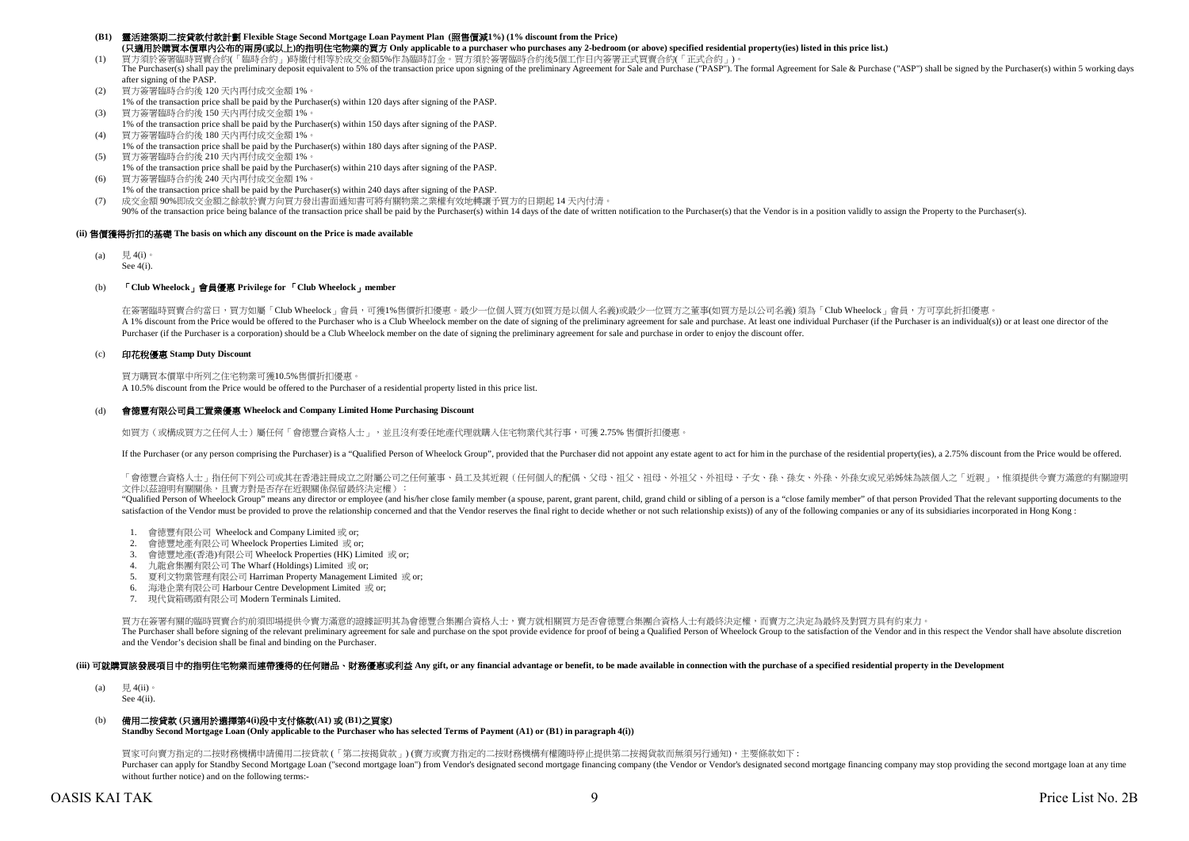# **(B1)** 靈活建築期二按貸款付款計劃 **Flexible Stage Second Mortgage Loan Payment Plan (**照售價減**1%) (1% discount from the Price) (**只適用於購買本價單內公布的兩房**(**或以上**)**的指明住宅物業的買方 **Only applicable to a purchaser who purchases any 2-bedroom (or above) specified residential property(ies) listed in this price list.)**

(1) 買方須於簽署臨時買賣合約(「臨時合約」)時繳付相等於成交金額5%作為臨時訂金。買方須於簽署臨時合約後5個工作日內簽署正式買賣合約(「正式合約」)。

- The Purchaser(s) shall pay the preliminary deposit equivalent to 5% of the transaction price upon signing of the preliminary Agreement for Sale and Purchase ("PASP"). The formal Agreement for Sale & Purchase ("ASP") shall after signing of the PASP.
- (2) 買方簽署臨時合約後 120 天內再付成交金額 1%。 1% of the transaction price shall be paid by the Purchaser(s) within 120 days after signing of the PASP.
- (3) 買方簽署臨時合約後 150 天內再付成交金額 1%。
- 1% of the transaction price shall be paid by the Purchaser(s) within 150 days after signing of the PASP. (4) 買方簽署臨時合約後 180 天內再付成交金額 1%。
- 1% of the transaction price shall be paid by the Purchaser(s) within 180 days after signing of the PASP. (5) 買方簽署臨時合約後 210 天內再付成交金額 1%。
- 1% of the transaction price shall be paid by the Purchaser(s) within 210 days after signing of the PASP.
- (6) 買方簽署臨時合約後 240 天內再付成交金額 1%。 1% of the transaction price shall be paid by the Purchaser(s) within 240 days after signing of the PASP.
- (7) 成交金額 90%即成交金額之餘款於賣方向買方發出書面通知書可將有關物業之業權有效地轉讓予買方的日期起 14 天內付清。

90% of the transaction price being balance of the transaction price shall be paid by the Purchaser(s) within 14 days of the date of written notification to the Purchaser(s) hat the Vendor is in a position validly to assign

# **(ii)** 售價獲得折扣的基礎 **The basis on which any discount on the Price is made available**

(a) 見 4(i)。 See 4(i).

# (b) 「**Club Wheelock**」會員優惠 **Privilege for** 「**Club Wheelock**」**member**

在簽署臨時買賣合約當日,買方如屬「Club Wheelock」會員,可獲1%售價折扣優惠。最少一位個人買方/如買方是以個人名義)或最少一位買方之董事(如買方是以公司名義)須為「Club Wheelock」會員,方可享此折扣優惠。 A 1% discount from the Price would be offered to the Purchaser who is a Club Wheelock member on the date of signing of the preliminary agreement for sale and purchase. At least one individual Purchaser (if the Purchaser is Purchaser (if the Purchaser is a corporation) should be a Club Wheelock member on the date of signing the preliminary agreement for sale and purchase in order to enjoy the discount offer.

# (c) 印花稅優惠 **Stamp Duty Discount**

買方購買本價單中所列之住宅物業可獲10.5%售價折扣優惠。 A 10.5% discount from the Price would be offered to the Purchaser of a residential property listed in this price list.

#### (d) 會德豐有限公司員工置業優惠 **Wheelock and Company Limited Home Purchasing Discount**

如買方 (或構成買方之任何人士) 屬任何「會德豐合資格人士」, 並且沒有委任地產代理就購入住宅物業代其行事,可獲 2.75% 售價折扣優惠

If the Purchaser (or any person comprising the Purchaser) is a "Oualified Person of Wheelock Group", provided that the Purchaser did not appoint any estate agent to act for him in the purchase of the residential property(i

「會德豐合資格人士」指任何下列公司或其在香港註冊成立之附屬公司之任何董事、員工及其近親(任何個人的配偶、父母、祖父、相母、外祖父、外祖母、子女、孫、孫女、外孫、外孫女或兄弟姊妹為該個人之「近親」,惟須提供令賣方滿意的有關證明 文件以茲證明有關關係,且賣方對是否存在近親關係保留最終決定權):

"Oualified Person of Wheelock Group" means any director or employee (and his/her close family member (a spouse, parent, grant parent, child, grand child or sibling of a person is a "close family member" of that person Prov satisfaction of the Vendor must be provided to prove the relationship concerned and that the Vendor reserves the final right to decide whether or not such relationship exists)) of any of the following companies or any of i

- 1. 會德豐有限公司 Wheelock and Company Limited 或 or;
- 2. 會德豐地產有限公司 Wheelock Properties Limited 或 or;
- 3. 會德豐地產(香港)有限公司 Wheelock Properties (HK) Limited 或 or;
- 4. 九龍倉集團有限公司 The Wharf (Holdings) Limited 或 or;
- 5. 夏利文物業管理有限公司 Harriman Property Management Limited 或 or;
- 6. 海港企業有限公司 Harbour Centre Development Limited 或 or;
- 7. 現代貨箱碼頭有限公司 Modern Terminals Limited.

買方在簽署有關的臨時買賣合約前須即場提供令賣方滿意的證據証明其為會德豐合集團合資格人士,賣方就相關買方是否會德豐合集團合資格人士有最終決定權,而賣方之決定為最終及對買方具有約束力。 The Purchaser shall before signing of the relevant preliminary agreement for sale and purchase on the spot provide evidence for proof of being a Qualified Person of Wheelock Group to the satisfaction of the Vendor and in t and the Vendor's decision shall be final and binding on the Purchaser.

# (iii) 可就購買該發展項目中的指明住宅物業而連帶獲得的任何贈品、財務優惠或利益 Any gift, or any financial advantage or benefit, to be made available in connection with the purchase of a specified residential property in the Development

(a)  $\qquad \qquad \boxplus 4$ (ii)。

See 4(ii).

# (b) 備用二按貸款 **(**只適用於選擇第**4(i)**段中支付條款**(A1)** 或 **(B1)**之買家**)**

**Standby Second Mortgage Loan (Only applicable to the Purchaser who has selected Terms of Payment (A1) or (B1) in paragraph 4(i))**

買家可向賣方指定的二按財務機構申請備用二按貸款 (「第二按揭貨款」) (賣方或賣方指定的二按財務機構有權隨時停止提供第二按揭貨款而無須另行通知),主要條款如下 : Purchaser can apply for Standby Second Morteage Loan ("second morteage loan") from Vendor's designated second morteage financing company (the Vendor or Vendor's designated second morteage financing company may stop providi without further notice) and on the following terms:-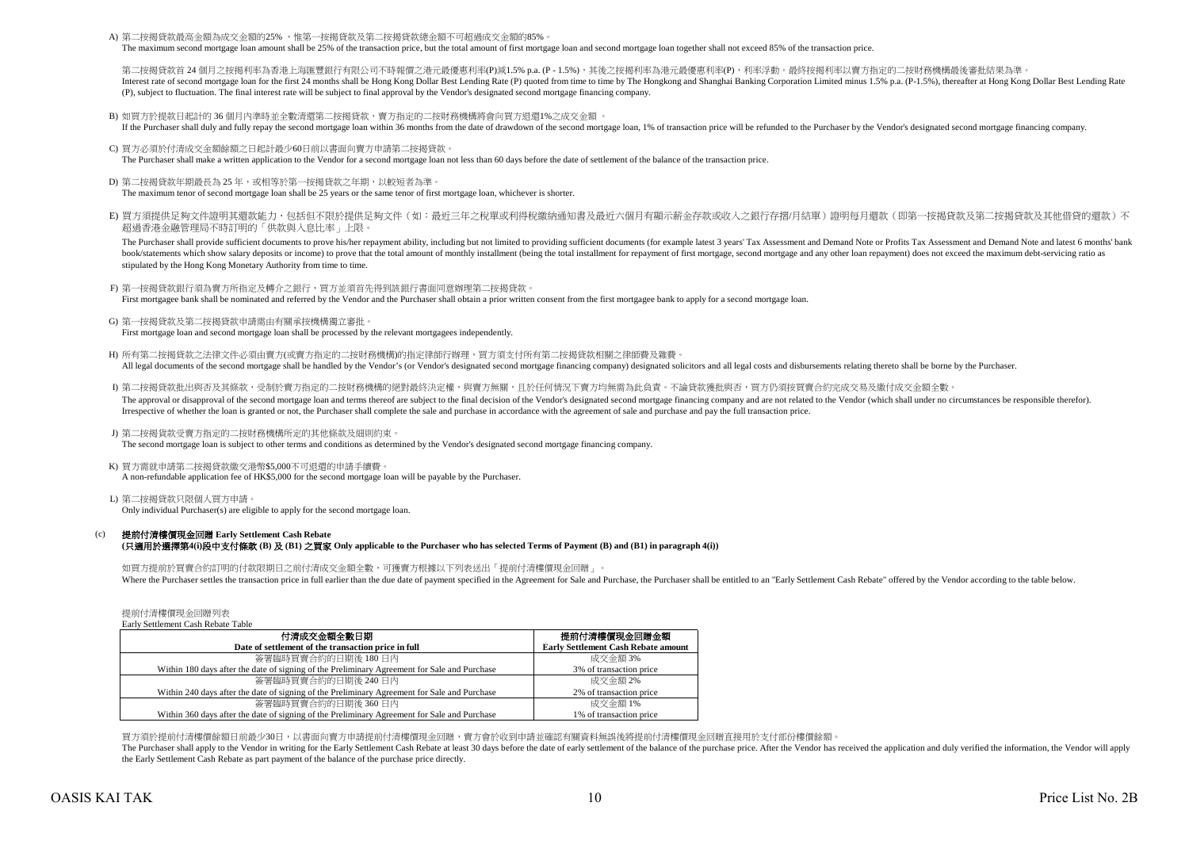A) 第二按揭貸款最高金額為成交金額的25% ,惟第一按揭貸款及第二按揭貸款總金額不可超過成交金額的85%

The maximum second mortgage loan amount shall be 25% of the transaction price, but the total amount of first mortgage loan and second mortgage loan together shall not exceed 85% of the transaction price.

第二按揭管款首 24 個月之按揭利率為香港上海匯豐銀行有限公司不時報價之港元最優惠利率(P)減1.5% p.a. (P - 1.5%),其後之按揭利率為港元最優惠利率(P),利率浮動。最終按揭利率以賣方指定的二按財務機構最後審批結果為準 Interest rate of second morteage loan for the first 24 months shall be Hong Kong Dollar Best Lending Rate (P) quoted from time to time by The Hongkong and Shanghai Banking Corporation Limited minus 1.5% p.a. (P-1.5%), ther (P), subject to fluctuation. The final interest rate will be subject to final approval by the Vendor's designated second mortgage financing company.

B) 如買方於提款日起計的 36 個月內準時並全數清還第二按揭貸款,賣方指定的二按財務機構將會向買方退還1%之成交金額 。

If the Purchaser shall duly and fully repay the second mortgage loan within 36 months from the date of drawdown of the second mortgage loan, 1% of transaction price will be refunded to the Purchaser by the Vendor's designa

- C) 買方必須於付清成交金額餘額之日起計最少60日前以書面向賣方申請第二按揭貸款。 The Purchaser shall make a written application to the Vendor for a second mortgage loan not less than 60 days before the date of settlement of the balance of the transaction price.
- D) 第二按揭貸款年期最長為 25 年,或相等於第一按揭貸款之年期,以較短者為準。 The maximum tenor of second mortgage loan shall be 25 years or the same tenor of first mortgage loan, whichever is shorter.
- E) 買方須提供足夠文件證明其還款能力,包括但不限於提供足夠文件(如:最近三年之稅單或利得稅繳納通知書及最近六個月有顯示薪金存款或收入之銀行存摺/月結單)證明每月還款(即第一按揭貸款及第二按揭貸款及其他借貸的還款)不 超過香港金融管理局不時訂明的「供款與入息比率」上限。

The Purchaser shall provide sufficient documents to prove his/her repayment ability, including but not limited to providing sufficient documents (for example latest 3 years' Tax Assessment and Demand Note or Profits Tax As book/statements which show salary deposits or income) to prove that the total amount of monthly installment (being the total installment for repayment of first mortgage, second mortgage and any other loan repayment) does n stipulated by the Hong Kong Monetary Authority from time to time.

- F) 第一按揭貸款銀行須為賣方所指定及轉介之銀行,買方並須首先得到該銀行書面同意辦理第二按揭貸款。 First mortgagee bank shall be nominated and referred by the Vendor and the Purchaser shall obtain a prior written consent from the first mortgagee bank to apply for a second mortgage loan.
- G) 第一按揭貸款及第二按揭貸款申請需由有關承按機構獨立審批。 First mortgage loan and second mortgage loan shall be processed by the relevant mortgagees independently.
- H) 所有第二按揭貸款之法律文件必須由賣方(或賣方指定的二按財務機構)的指定律師行辦理,買方須支付所有第二按揭貸款相關之律師費及雜費。 All legal documents of the second mortgage shall be handled by the Vendor's (or Vendor's designated second mortgage financing company) designated solicitors and all legal costs and disbursements relating thereto shall be b
- I) 第二按揭貸款批出與否及其條款,受制於賣方指定的二按財務機構的絕對最終決定權,與賣方無關,且於任何情況下賣方均無需為此負責。不論貸款獲批與否,買方仍須按買賣合約完成交易及繳付成交金額全數。 The approval or disapproval of the second mortgage loan and terms thereof are subject to the final decision of the Vendor's designated second mortgage financing company and are not related to the Vendor (which shall under Irrespective of whether the loan is granted or not, the Purchaser shall complete the sale and purchase in accordance with the agreement of sale and purchase and pay the full transaction price.
- J) 第二按揭貨款受賣方指定的二按財務機構所定的其他條款及細則約束。

The second mortgage loan is subject to other terms and conditions as determined by the Vendor's designated second mortgage financing company.

### K) 買方需就申請第二按揭貸款繳交港幣\$5,000不可退還的申請手續費。 A non-refundable application fee of HK\$5,000 for the second mortgage loan will be payable by the Purchaser.

L) 第二按揭貸款只限個人買方申請。 Only individual Purchaser(s) are eligible to apply for the second mortgage loan.

#### $(c)$ 提前付清樓價現金回贈 **Early Settlement Cash Rebate (**只適用於選擇第**4(i)**段中支付條款 **(B)** 及 **(B1)** 之買家 **Only applicable to the Purchaser who has selected Terms of Payment (B) and (B1) in paragraph 4(i))**

如買方提前於買賣合約訂明的付款限期日之前付清成交金額全數,可獲賣方根據以下列表送出「提前付清樓價現金回贈」。 Where the Purchaser settles the transaction price in full earlier than the due date of payment specified in the Agreement for Sale and Purchase, the Purchaser shall be entitled to an "Early Settlement Cash Rebate" offered

提前付清樓價現金回贈列表

| Early Settlement Cash Rebate Table                                                           |                                            |
|----------------------------------------------------------------------------------------------|--------------------------------------------|
| 付清成交金額全數日期                                                                                   | 提前付清樓價現金回贈金額                               |
| Date of settlement of the transaction price in full                                          | <b>Early Settlement Cash Rebate amount</b> |
| 簽署臨時買賣合約的日期後 180日內                                                                           | 成交金額 3%                                    |
| Within 180 days after the date of signing of the Preliminary Agreement for Sale and Purchase | 3% of transaction price                    |
| 簽署臨時買賣合約的日期後 240 日內                                                                          | 成交金額 2%                                    |
| Within 240 days after the date of signing of the Preliminary Agreement for Sale and Purchase | 2% of transaction price                    |
| 簽署臨時買賣合約的日期後 360日內                                                                           | 成交金額 1%                                    |
| Within 360 days after the date of signing of the Preliminary Agreement for Sale and Purchase | 1% of transaction price                    |

買方須於提前付清樓價餘額日前最少30日,以書面向賣方申請提前付清樓價現金回贈,賣方會於收到申請並確認有關資料無誤後將提前付清樓價現金回贈直接用於支付部份樓價餘額。

The Purchaser shall apply to the Vendor in writing for the Early Settlement Cash Rebate at least 30 days before the date of early settlement of the balance of the purchase price. After the Vendor has received the applicati the Early Settlement Cash Rebate as part payment of the balance of the purchase price directly.